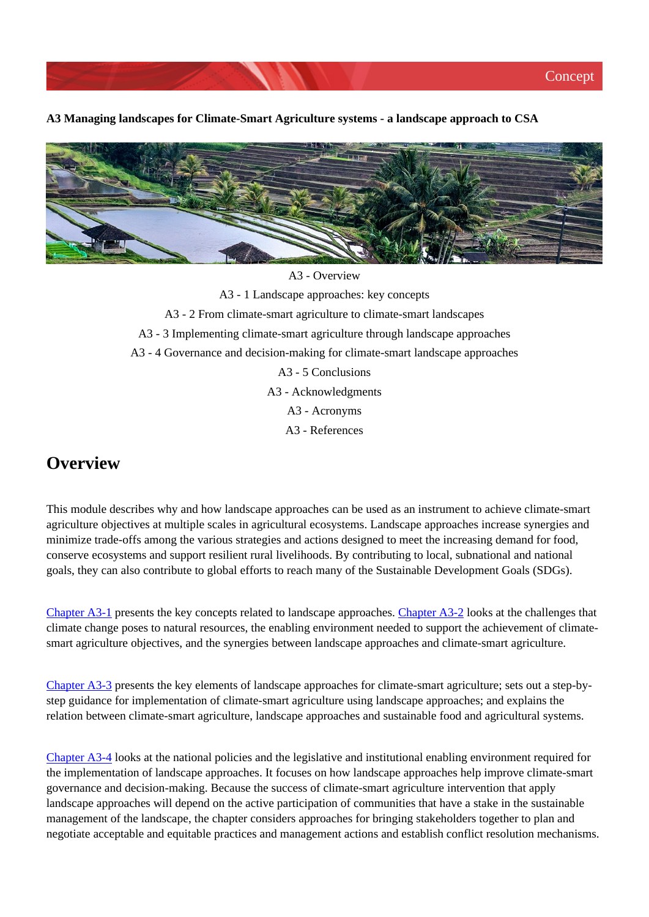**A3 Managing landscapes for Climate-Smart Agriculture systems - a landscape approach to CSA**



A3 - Overview A3 - 1 Landscape approaches: key concepts A3 - 2 From climate-smart agriculture to climate-smart landscapes A3 - 3 Implementing climate-smart agriculture through landscape approaches A3 - 4 Governance and decision-making for climate-smart landscape approaches A3 - 5 Conclusions A3 - Acknowledgments A3 - Acronyms A3 - References

# **Overview**

This module describes why and how landscape approaches can be used as an instrument to achieve climate-smart agriculture objectives at multiple scales in agricultural ecosystems. Landscape approaches increase synergies and minimize trade-offs among the various strategies and actions designed to meet the increasing demand for food, conserve ecosystems and support resilient rural livelihoods. By contributing to local, subnational and national goals, they can also contribute to global efforts to reach many of the Sustainable Development Goals (SDGs).

[Chapter A3-1](http://www.fao.org/climate-smart-agriculture-sourcebook/concept/module-a3-landscapes/chapter-a3-1/es/) presents the key concepts related to landscape approaches. [Chapter A3-2](http://www.fao.org/climate-smart-agriculture-sourcebook/concept/module-a3-landscapes/chapter-a3-2/es/) looks at the challenges that climate change poses to natural resources, the enabling environment needed to support the achievement of climatesmart agriculture objectives, and the synergies between landscape approaches and climate-smart agriculture.

[Chapter A3-3](http://www.fao.org/climate-smart-agriculture-sourcebook/concept/module-a3-landscapes/chapter-a3-3/es/) presents the key elements of landscape approaches for climate-smart agriculture; sets out a step-bystep guidance for implementation of climate-smart agriculture using landscape approaches; and explains the relation between climate-smart agriculture, landscape approaches and sustainable food and agricultural systems.

[Chapter A3-4](http://www.fao.org/climate-smart-agriculture-sourcebook/concept/module-a3-landscapes/chapter-a3-4/es/) looks at the national policies and the legislative and institutional enabling environment required for the implementation of landscape approaches. It focuses on how landscape approaches help improve climate-smart governance and decision-making. Because the success of climate-smart agriculture intervention that apply landscape approaches will depend on the active participation of communities that have a stake in the sustainable management of the landscape, the chapter considers approaches for bringing stakeholders together to plan and negotiate acceptable and equitable practices and management actions and establish conflict resolution mechanisms.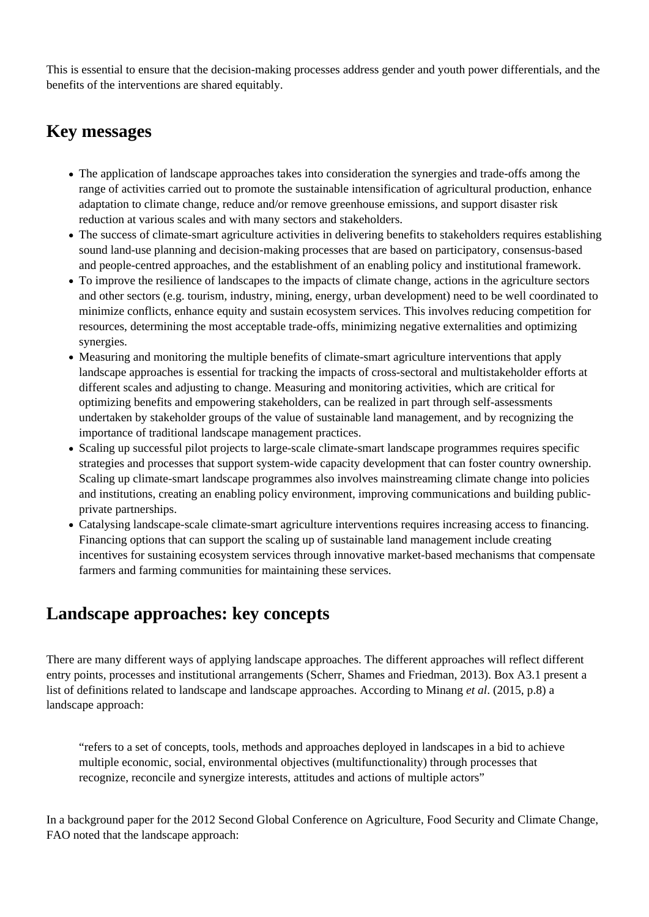This is essential to ensure that the decision-making processes address gender and youth power differentials, and the benefits of the interventions are shared equitably.

# **Key messages**

- The application of landscape approaches takes into consideration the synergies and trade-offs among the range of activities carried out to promote the sustainable intensification of agricultural production, enhance adaptation to climate change, reduce and/or remove greenhouse emissions, and support disaster risk reduction at various scales and with many sectors and stakeholders.
- The success of climate-smart agriculture activities in delivering benefits to stakeholders requires establishing sound land-use planning and decision-making processes that are based on participatory, consensus-based and people-centred approaches, and the establishment of an enabling policy and institutional framework.
- To improve the resilience of landscapes to the impacts of climate change, actions in the agriculture sectors and other sectors (e.g. tourism, industry, mining, energy, urban development) need to be well coordinated to minimize conflicts, enhance equity and sustain ecosystem services. This involves reducing competition for resources, determining the most acceptable trade-offs, minimizing negative externalities and optimizing synergies.
- Measuring and monitoring the multiple benefits of climate-smart agriculture interventions that apply landscape approaches is essential for tracking the impacts of cross-sectoral and multistakeholder efforts at different scales and adjusting to change. Measuring and monitoring activities, which are critical for optimizing benefits and empowering stakeholders, can be realized in part through self-assessments undertaken by stakeholder groups of the value of sustainable land management, and by recognizing the importance of traditional landscape management practices.
- Scaling up successful pilot projects to large-scale climate-smart landscape programmes requires specific strategies and processes that support system-wide capacity development that can foster country ownership. Scaling up climate-smart landscape programmes also involves mainstreaming climate change into policies and institutions, creating an enabling policy environment, improving communications and building publicprivate partnerships.
- Catalysing landscape-scale climate-smart agriculture interventions requires increasing access to financing. Financing options that can support the scaling up of sustainable land management include creating incentives for sustaining ecosystem services through innovative market-based mechanisms that compensate farmers and farming communities for maintaining these services.

# **Landscape approaches: key concepts**

There are many different ways of applying landscape approaches. The different approaches will reflect different entry points, processes and institutional arrangements (Scherr, Shames and Friedman, 2013). Box A3.1 present a list of definitions related to landscape and landscape approaches. According to Minang *et al*. (2015, p.8) a landscape approach:

"refers to a set of concepts, tools, methods and approaches deployed in landscapes in a bid to achieve multiple economic, social, environmental objectives (multifunctionality) through processes that recognize, reconcile and synergize interests, attitudes and actions of multiple actors"

In a background paper for the 2012 Second Global Conference on Agriculture, Food Security and Climate Change, FAO noted that the landscape approach: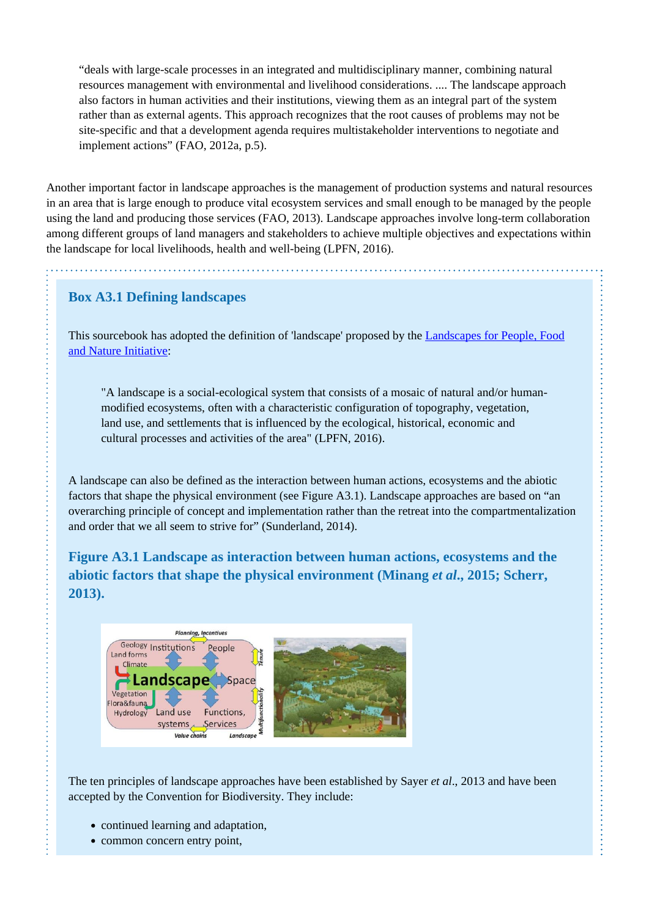"deals with large-scale processes in an integrated and multidisciplinary manner, combining natural resources management with environmental and livelihood considerations. .... The landscape approach also factors in human activities and their institutions, viewing them as an integral part of the system rather than as external agents. This approach recognizes that the root causes of problems may not be site-specific and that a development agenda requires multistakeholder interventions to negotiate and implement actions" (FAO, 2012a, p.5).

Another important factor in landscape approaches is the management of production systems and natural resources in an area that is large enough to produce vital ecosystem services and small enough to be managed by the people using the land and producing those services (FAO, 2013). Landscape approaches involve long-term collaboration among different groups of land managers and stakeholders to achieve multiple objectives and expectations within the landscape for local livelihoods, health and well-being (LPFN, 2016).

### **Box A3.1 Defining landscapes**

This sourcebook has adopted the definition of 'landscape' proposed by the [Landscapes for People, Food](http://peoplefoodandnature.org/) [and Nature Initiative:](http://peoplefoodandnature.org/)

"A landscape is a social-ecological system that consists of a mosaic of natural and/or humanmodified ecosystems, often with a characteristic configuration of topography, vegetation, land use, and settlements that is influenced by the ecological, historical, economic and cultural processes and activities of the area" (LPFN, 2016).

A landscape can also be defined as the interaction between human actions, ecosystems and the abiotic factors that shape the physical environment (see Figure A3.1). Landscape approaches are based on "an overarching principle of concept and implementation rather than the retreat into the compartmentalization and order that we all seem to strive for" (Sunderland, 2014).

**Figure A3.1 Landscape as interaction between human actions, ecosystems and the abiotic factors that shape the physical environment (Minang** *et al***., 2015; Scherr, 2013).**



The ten principles of landscape approaches have been established by Sayer *et al*., 2013 and have been accepted by the Convention for Biodiversity. They include:

- continued learning and adaptation,
- common concern entry point,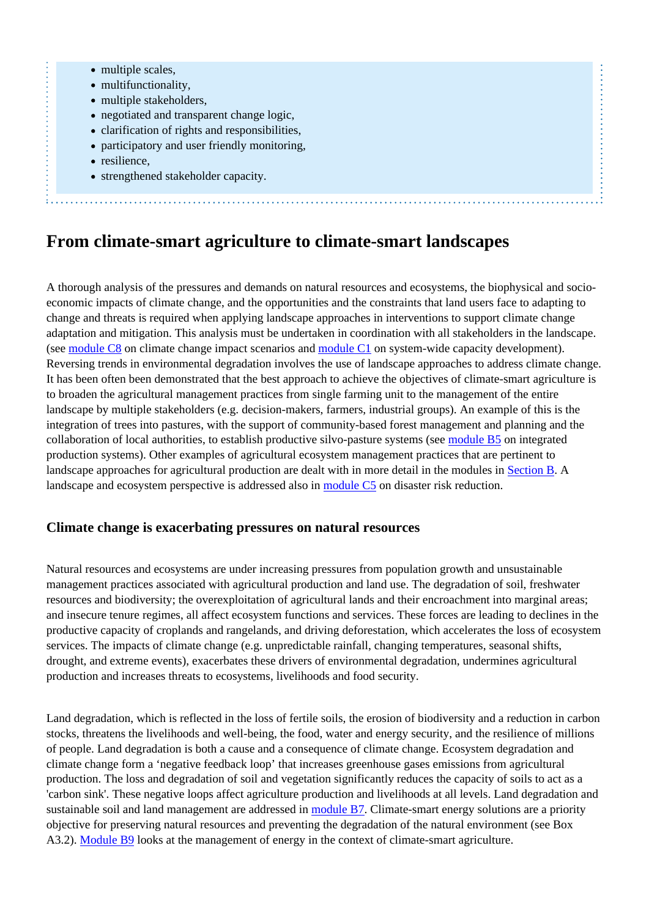- multiple scales,
- multifunctionality,
- multiple stakeholders,
- negotiated and transparent change logic,
- clarification of rights and responsibilities,
- participatory and user friendly monitoring,
- resilience,

• strengthened stakeholder capacity.

# **From climate-smart agriculture to climate-smart landscapes**

A thorough analysis of the pressures and demands on natural resources and ecosystems, the biophysical and socioeconomic impacts of climate change, and the opportunities and the constraints that land users face to adapting to change and threats is required when applying landscape approaches in interventions to support climate change adaptation and mitigation. This analysis must be undertaken in coordination with all stakeholders in the landscape. (see [module C8](http://www.fao.org/climate-smart-agriculture-sourcebook/enabling-frameworks/module-c8-impact-assessments/es/) on climate change impact scenarios and [module C1](http://www.fao.org/climate-smart-agriculture-sourcebook/enabling-frameworks/module-c1-capacity-development/es/) on system-wide capacity development). Reversing trends in environmental degradation involves the use of landscape approaches to address climate change. It has been often been demonstrated that the best approach to achieve the objectives of climate-smart agriculture is to broaden the agricultural management practices from single farming unit to the management of the entire landscape by multiple stakeholders (e.g. decision-makers, farmers, industrial groups). An example of this is the integration of trees into pastures, with the support of community-based forest management and planning and the collaboration of local authorities, to establish productive silvo-pasture systems (see [module B5](http://www.fao.org/climate-smart-agriculture-sourcebook/production-resources/module-b5-integrated-production-systems/es/) on integrated production systems). Other examples of agricultural ecosystem management practices that are pertinent to landscape approaches for agricultural production are dealt with in more detail in the modules in [Section B.](http://www.fao.org/climate-smart-agriculture-sourcebook/production-resources/es/) A landscape and ecosystem perspective is addressed also in [module C5](http://www.fao.org/climate-smart-agriculture-sourcebook/enabling-frameworks/module-c5-climate-resilience/es/) on disaster risk reduction.

#### **Climate change is exacerbating pressures on natural resources**

Natural resources and ecosystems are under increasing pressures from population growth and unsustainable management practices associated with agricultural production and land use. The degradation of soil, freshwater resources and biodiversity; the overexploitation of agricultural lands and their encroachment into marginal areas; and insecure tenure regimes, all affect ecosystem functions and services. These forces are leading to declines in the productive capacity of croplands and rangelands, and driving deforestation, which accelerates the loss of ecosystem services. The impacts of climate change (e.g. unpredictable rainfall, changing temperatures, seasonal shifts, drought, and extreme events), exacerbates these drivers of environmental degradation, undermines agricultural production and increases threats to ecosystems, livelihoods and food security.

Land degradation, which is reflected in the loss of fertile soils, the erosion of biodiversity and a reduction in carbon stocks, threatens the livelihoods and well-being, the food, water and energy security, and the resilience of millions of people. Land degradation is both a cause and a consequence of climate change. Ecosystem degradation and climate change form a 'negative feedback loop' that increases greenhouse gases emissions from agricultural production. The loss and degradation of soil and vegetation significantly reduces the capacity of soils to act as a 'carbon sink'. These negative loops affect agriculture production and livelihoods at all levels. Land degradation and sustainable soil and land management are addressed in [module B7](http://www.fao.org/climate-smart-agriculture-sourcebook/production-resources/module-b7-soil/es/). Climate-smart energy solutions are a priority objective for preserving natural resources and preventing the degradation of the natural environment (see Box A3.2). [Module B9](http://www.fao.org/climate-smart-agriculture-sourcebook/production-resources/module-b9-energy/es/) looks at the management of energy in the context of climate-smart agriculture.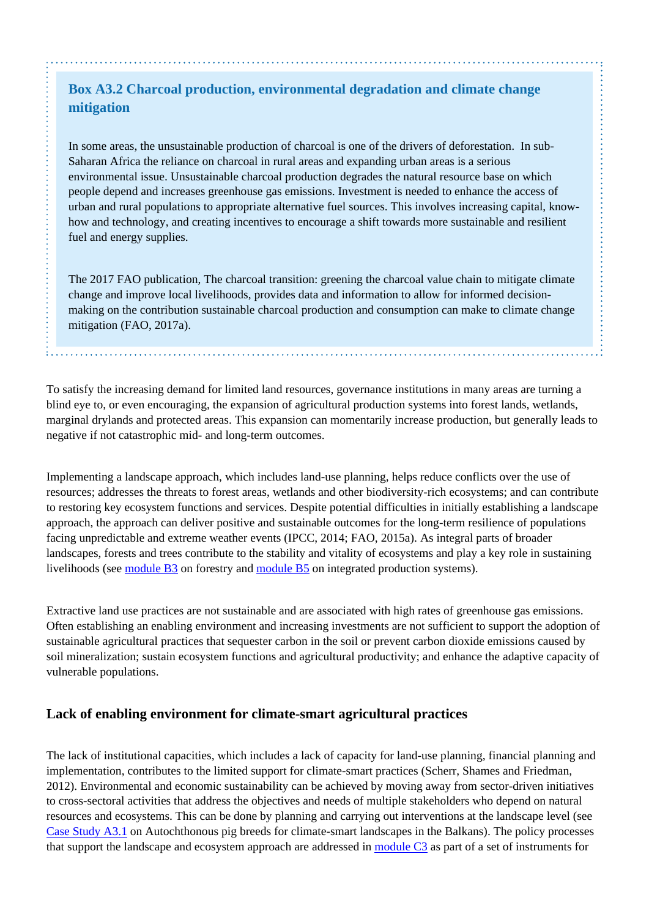# **Box A3.2 Charcoal production, environmental degradation and climate change mitigation**

In some areas, the unsustainable production of charcoal is one of the drivers of deforestation. In sub-Saharan Africa the reliance on charcoal in rural areas and expanding urban areas is a serious environmental issue. Unsustainable charcoal production degrades the natural resource base on which people depend and increases greenhouse gas emissions. Investment is needed to enhance the access of urban and rural populations to appropriate alternative fuel sources. This involves increasing capital, knowhow and technology, and creating incentives to encourage a shift towards more sustainable and resilient fuel and energy supplies.

The 2017 FAO publication, The charcoal transition: greening the charcoal value chain to mitigate climate change and improve local livelihoods, provides data and information to allow for informed decisionmaking on the contribution sustainable charcoal production and consumption can make to climate change mitigation (FAO, 2017a).

To satisfy the increasing demand for limited land resources, governance institutions in many areas are turning a blind eye to, or even encouraging, the expansion of agricultural production systems into forest lands, wetlands, marginal drylands and protected areas. This expansion can momentarily increase production, but generally leads to negative if not catastrophic mid- and long-term outcomes.

Implementing a landscape approach, which includes land-use planning, helps reduce conflicts over the use of resources; addresses the threats to forest areas, wetlands and other biodiversity-rich ecosystems; and can contribute to restoring key ecosystem functions and services. Despite potential difficulties in initially establishing a landscape approach, the approach can deliver positive and sustainable outcomes for the long-term resilience of populations facing unpredictable and extreme weather events (IPCC, 2014; FAO, 2015a). As integral parts of broader landscapes, forests and trees contribute to the stability and vitality of ecosystems and play a key role in sustaining livelihoods (see [module B3](http://www.fao.org/climate-smart-agriculture-sourcebook/production-resources/module-b3-forestry/es/) on forestry and [module B5](http://www.fao.org/climate-smart-agriculture-sourcebook/production-resources/module-b5-integrated-production-systems/es/) on integrated production systems).

Extractive land use practices are not sustainable and are associated with high rates of greenhouse gas emissions. Often establishing an enabling environment and increasing investments are not sufficient to support the adoption of sustainable agricultural practices that sequester carbon in the soil or prevent carbon dioxide emissions caused by soil mineralization; sustain ecosystem functions and agricultural productivity; and enhance the adaptive capacity of vulnerable populations.

## **Lack of enabling environment for climate-smart agricultural practices**

The lack of institutional capacities, which includes a lack of capacity for land-use planning, financial planning and implementation, contributes to the limited support for climate-smart practices (Scherr, Shames and Friedman, 2012). Environmental and economic sustainability can be achieved by moving away from sector-driven initiatives to cross-sectoral activities that address the objectives and needs of multiple stakeholders who depend on natural resources and ecosystems. This can be done by planning and carrying out interventions at the landscape level (see [Case Study A3.1](http://www.fao.org/climate-smart-agriculture-sourcebook/concept/module-a3-landscapes/a3-case-studies/case-study-a3-1/es/) on Autochthonous pig breeds for climate-smart landscapes in the Balkans). The policy processes that support the landscape and ecosystem approach are addressed in [module C3](http://www.fao.org/climate-smart-agriculture-sourcebook/enabling-frameworks/module-c3-policy/es/) as part of a set of instruments for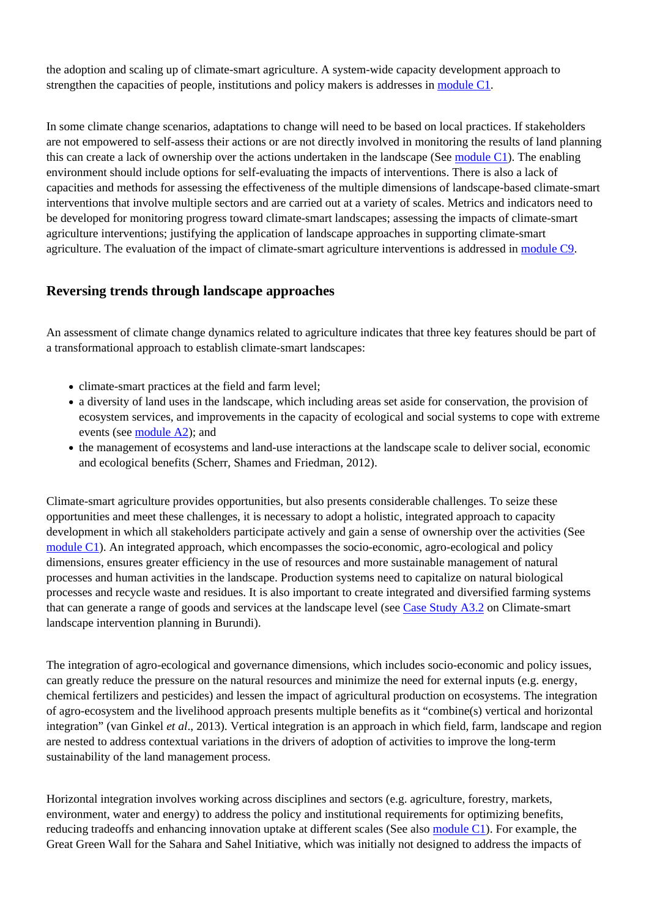the adoption and scaling up of climate-smart agriculture. A system-wide capacity development approach to strengthen the capacities of people, institutions and policy makers is addresses in [module C1](http://www.fao.org/climate-smart-agriculture-sourcebook/enabling-frameworks/module-c1-capacity-development/es/).

In some climate change scenarios, adaptations to change will need to be based on local practices. If stakeholders are not empowered to self-assess their actions or are not directly involved in monitoring the results of land planning this can create a lack of ownership over the actions undertaken in the landscape (See [module C1\)](http://www.fao.org/climate-smart-agriculture-sourcebook/enabling-frameworks/module-c1-capacity-development/es/). The enabling environment should include options for self-evaluating the impacts of interventions. There is also a lack of capacities and methods for assessing the effectiveness of the multiple dimensions of landscape-based climate-smart interventions that involve multiple sectors and are carried out at a variety of scales. Metrics and indicators need to be developed for monitoring progress toward climate-smart landscapes; assessing the impacts of climate-smart agriculture interventions; justifying the application of landscape approaches in supporting climate-smart agriculture. The evaluation of the impact of climate-smart agriculture interventions is addressed in [module C9.](http://www.fao.org/climate-smart-agriculture-sourcebook/enabling-frameworks/module-c9-monitoring-evaluation/es/)

### **Reversing trends through landscape approaches**

An assessment of climate change dynamics related to agriculture indicates that three key features should be part of a transformational approach to establish climate-smart landscapes:

- climate-smart practices at the field and farm level;
- a diversity of land uses in the landscape, which including areas set aside for conservation, the provision of ecosystem services, and improvements in the capacity of ecological and social systems to cope with extreme events (see [module A2](http://www.fao.org/climate-smart-agriculture-sourcebook/concept/module-a2-adaptation-mitigation/es/)); and
- the management of ecosystems and land-use interactions at the landscape scale to deliver social, economic and ecological benefits (Scherr, Shames and Friedman, 2012).

Climate-smart agriculture provides opportunities, but also presents considerable challenges. To seize these opportunities and meet these challenges, it is necessary to adopt a holistic, integrated approach to capacity development in which all stakeholders participate actively and gain a sense of ownership over the activities (See [module C1](http://www.fao.org/climate-smart-agriculture-sourcebook/enabling-frameworks/module-c1-capacity-development/es/)). An integrated approach, which encompasses the socio-economic, agro-ecological and policy dimensions, ensures greater efficiency in the use of resources and more sustainable management of natural processes and human activities in the landscape. Production systems need to capitalize on natural biological processes and recycle waste and residues. It is also important to create integrated and diversified farming systems that can generate a range of goods and services at the landscape level (see [Case Study A3.2](http://www.fao.org/climate-smart-agriculture-sourcebook/concept/module-a3-landscapes/a3-case-studies/case-study-a3-2/es/) on Climate-smart landscape intervention planning in Burundi).

The integration of agro-ecological and governance dimensions, which includes socio-economic and policy issues, can greatly reduce the pressure on the natural resources and minimize the need for external inputs (e.g. energy, chemical fertilizers and pesticides) and lessen the impact of agricultural production on ecosystems. The integration of agro-ecosystem and the livelihood approach presents multiple benefits as it "combine(s) vertical and horizontal integration" (van Ginkel *et al*., 2013). Vertical integration is an approach in which field, farm, landscape and region are nested to address contextual variations in the drivers of adoption of activities to improve the long-term sustainability of the land management process.

Horizontal integration involves working across disciplines and sectors (e.g. agriculture, forestry, markets, environment, water and energy) to address the policy and institutional requirements for optimizing benefits, reducing tradeoffs and enhancing innovation uptake at different scales (See also [module C1\)](http://www.fao.org/climate-smart-agriculture-sourcebook/enabling-frameworks/module-c1-capacity-development/es/). For example, the Great Green Wall for the Sahara and Sahel Initiative, which was initially not designed to address the impacts of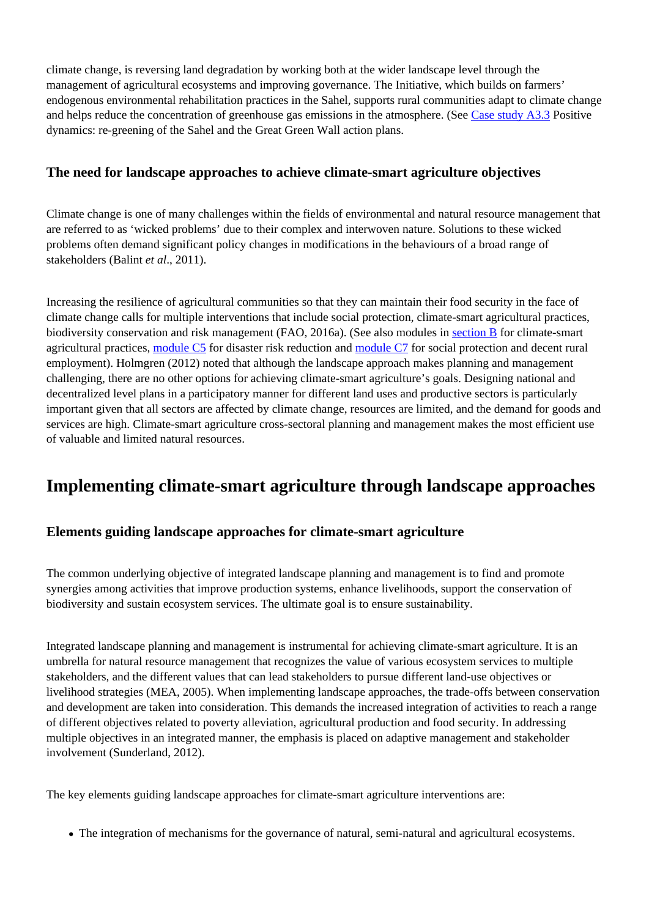climate change, is reversing land degradation by working both at the wider landscape level through the management of agricultural ecosystems and improving governance. The Initiative, which builds on farmers' endogenous environmental rehabilitation practices in the Sahel, supports rural communities adapt to climate change and helps reduce the concentration of greenhouse gas emissions in the atmosphere. (See [Case study A3.3](http://www.fao.org/climate-smart-agriculture-sourcebook/concept/module-a3-landscapes/a3-case-studies/case-study-a3-3/es/) Positive dynamics: re-greening of the Sahel and the Great Green Wall action plans.

### **The need for landscape approaches to achieve climate-smart agriculture objectives**

Climate change is one of many challenges within the fields of environmental and natural resource management that are referred to as 'wicked problems' due to their complex and interwoven nature. Solutions to these wicked problems often demand significant policy changes in modifications in the behaviours of a broad range of stakeholders (Balint *et al*., 2011).

Increasing the resilience of agricultural communities so that they can maintain their food security in the face of climate change calls for multiple interventions that include social protection, climate-smart agricultural practices, biodiversity conservation and risk management (FAO, 2016a). (See also modules in [section B](http://www.fao.org/climate-smart-agriculture-sourcebook/production-resources/es/) for climate-smart agricultural practices, [module C5](http://www.fao.org/climate-smart-agriculture-sourcebook/enabling-frameworks/module-c5-climate-resilience/es/) for disaster risk reduction and [module C7](http://www.fao.org/climate-smart-agriculture-sourcebook/enabling-frameworks/module-c7-social-protection/es/) for social protection and decent rural employment). Holmgren (2012) noted that although the landscape approach makes planning and management challenging, there are no other options for achieving climate-smart agriculture's goals. Designing national and decentralized level plans in a participatory manner for different land uses and productive sectors is particularly important given that all sectors are affected by climate change, resources are limited, and the demand for goods and services are high. Climate-smart agriculture cross-sectoral planning and management makes the most efficient use of valuable and limited natural resources.

# **Implementing climate-smart agriculture through landscape approaches**

## **Elements guiding landscape approaches for climate-smart agriculture**

The common underlying objective of integrated landscape planning and management is to find and promote synergies among activities that improve production systems, enhance livelihoods, support the conservation of biodiversity and sustain ecosystem services. The ultimate goal is to ensure sustainability.

Integrated landscape planning and management is instrumental for achieving climate-smart agriculture. It is an umbrella for natural resource management that recognizes the value of various ecosystem services to multiple stakeholders, and the different values that can lead stakeholders to pursue different land-use objectives or livelihood strategies (MEA, 2005). When implementing landscape approaches, the trade-offs between conservation and development are taken into consideration. This demands the increased integration of activities to reach a range of different objectives related to poverty alleviation, agricultural production and food security. In addressing multiple objectives in an integrated manner, the emphasis is placed on adaptive management and stakeholder involvement (Sunderland, 2012).

The key elements guiding landscape approaches for climate-smart agriculture interventions are:

The integration of mechanisms for the governance of natural, semi-natural and agricultural ecosystems.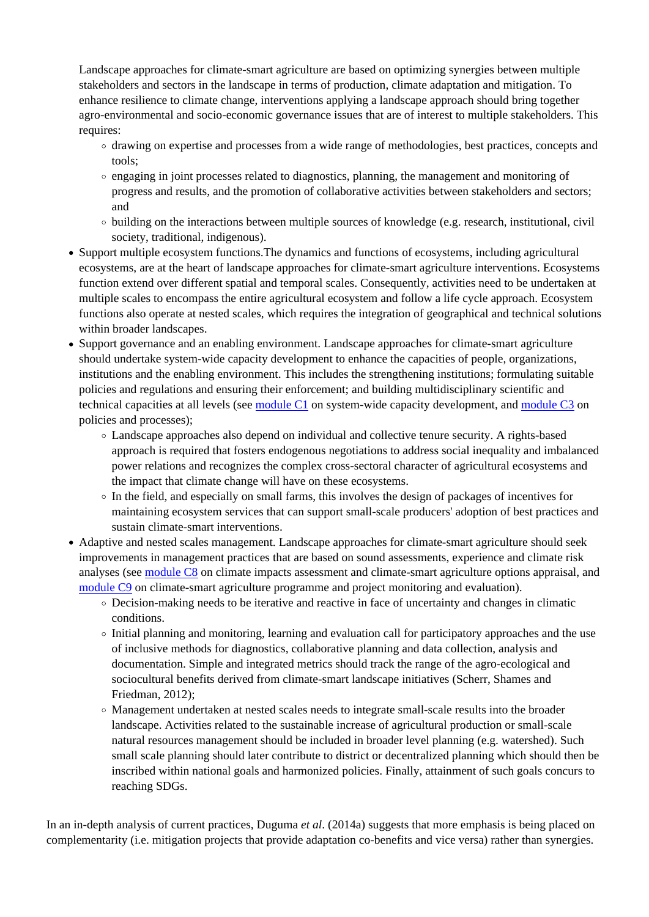Landscape approaches for climate-smart agriculture are based on optimizing synergies between multiple stakeholders and sectors in the landscape in terms of production, climate adaptation and mitigation. To enhance resilience to climate change, interventions applying a landscape approach should bring together agro-environmental and socio-economic governance issues that are of interest to multiple stakeholders. This requires:

- drawing on expertise and processes from a wide range of methodologies, best practices, concepts and tools;
- $\circ$  engaging in joint processes related to diagnostics, planning, the management and monitoring of progress and results, and the promotion of collaborative activities between stakeholders and sectors; and
- $\circ$  building on the interactions between multiple sources of knowledge (e.g. research, institutional, civil society, traditional, indigenous).
- Support multiple ecosystem functions.The dynamics and functions of ecosystems, including agricultural ecosystems, are at the heart of landscape approaches for climate-smart agriculture interventions. Ecosystems function extend over different spatial and temporal scales. Consequently, activities need to be undertaken at multiple scales to encompass the entire agricultural ecosystem and follow a life cycle approach. Ecosystem functions also operate at nested scales, which requires the integration of geographical and technical solutions within broader landscapes.
- Support governance and an enabling environment. Landscape approaches for climate-smart agriculture should undertake system-wide capacity development to enhance the capacities of people, organizations, institutions and the enabling environment. This includes the strengthening institutions; formulating suitable policies and regulations and ensuring their enforcement; and building multidisciplinary scientific and technical capacities at all levels (see [module C1](http://www.fao.org/climate-smart-agriculture-sourcebook/enabling-frameworks/module-c1-capacity-development/es/) on system-wide capacity development, and [module C3](http://www.fao.org/climate-smart-agriculture-sourcebook/enabling-frameworks/module-c3-policy/es/) on policies and processes);
	- Landscape approaches also depend on individual and collective tenure security. A rights-based approach is required that fosters endogenous negotiations to address social inequality and imbalanced power relations and recognizes the complex cross-sectoral character of agricultural ecosystems and the impact that climate change will have on these ecosystems.
	- In the field, and especially on small farms, this involves the design of packages of incentives for maintaining ecosystem services that can support small-scale producers' adoption of best practices and sustain climate-smart interventions.
- Adaptive and nested scales management. Landscape approaches for climate-smart agriculture should seek improvements in management practices that are based on sound assessments, experience and climate risk analyses (see [module C8](http://www.fao.org/climate-smart-agriculture-sourcebook/enabling-frameworks/module-c8-impact-assessments/es/) on climate impacts assessment and climate-smart agriculture options appraisal, and [module C9](http://www.fao.org/climate-smart-agriculture-sourcebook/enabling-frameworks/module-c9-monitoring-evaluation/es/) on climate-smart agriculture programme and project monitoring and evaluation).
	- $\circ$  Decision-making needs to be iterative and reactive in face of uncertainty and changes in climatic conditions.
	- Initial planning and monitoring, learning and evaluation call for participatory approaches and the use of inclusive methods for diagnostics, collaborative planning and data collection, analysis and documentation. Simple and integrated metrics should track the range of the agro-ecological and sociocultural benefits derived from climate-smart landscape initiatives (Scherr, Shames and Friedman, 2012);
	- Management undertaken at nested scales needs to integrate small-scale results into the broader landscape. Activities related to the sustainable increase of agricultural production or small-scale natural resources management should be included in broader level planning (e.g. watershed). Such small scale planning should later contribute to district or decentralized planning which should then be inscribed within national goals and harmonized policies. Finally, attainment of such goals concurs to reaching SDGs.

In an in-depth analysis of current practices, Duguma *et al*. (2014a) suggests that more emphasis is being placed on complementarity (i.e. mitigation projects that provide adaptation co-benefits and vice versa) rather than synergies.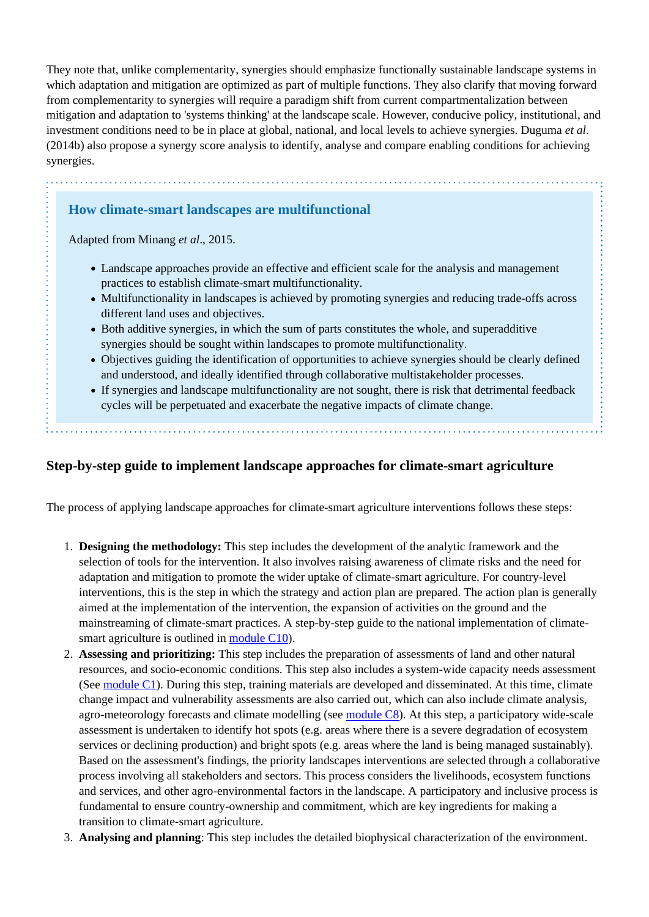They note that, unlike complementarity, synergies should emphasize functionally sustainable landscape systems in which adaptation and mitigation are optimized as part of multiple functions. They also clarify that moving forward from complementarity to synergies will require a paradigm shift from current compartmentalization between mitigation and adaptation to 'systems thinking' at the landscape scale. However, conducive policy, institutional, and investment conditions need to be in place at global, national, and local levels to achieve synergies. Duguma *et al*. (2014b) also propose a synergy score analysis to identify, analyse and compare enabling conditions for achieving synergies.

### **How climate-smart landscapes are multifunctional**

Adapted from Minang *et al*., 2015.

- Landscape approaches provide an effective and efficient scale for the analysis and management practices to establish climate-smart multifunctionality.
- Multifunctionality in landscapes is achieved by promoting synergies and reducing trade-offs across different land uses and objectives.
- Both additive synergies, in which the sum of parts constitutes the whole, and superadditive synergies should be sought within landscapes to promote multifunctionality.
- Objectives guiding the identification of opportunities to achieve synergies should be clearly defined and understood, and ideally identified through collaborative multistakeholder processes.
- If synergies and landscape multifunctionality are not sought, there is risk that detrimental feedback cycles will be perpetuated and exacerbate the negative impacts of climate change.

#### **Step-by-step guide to implement landscape approaches for climate-smart agriculture**

The process of applying landscape approaches for climate-smart agriculture interventions follows these steps:

- 1. **Designing the methodology:** This step includes the development of the analytic framework and the selection of tools for the intervention. It also involves raising awareness of climate risks and the need for adaptation and mitigation to promote the wider uptake of climate-smart agriculture. For country-level interventions, this is the step in which the strategy and action plan are prepared. The action plan is generally aimed at the implementation of the intervention, the expansion of activities on the ground and the mainstreaming of climate-smart practices. A step-by-step guide to the national implementation of climatesmart agriculture is outlined in [module C10](http://www.fao.org/climate-smart-agriculture-sourcebook/enabling-frameworks/module-c10-evidence-based-implementation/es/)).
- 2. **Assessing and prioritizing:** This step includes the preparation of assessments of land and other natural resources, and socio-economic conditions. This step also includes a system-wide capacity needs assessment (See [module C1](http://www.fao.org/climate-smart-agriculture-sourcebook/enabling-frameworks/module-c1-capacity-development/es/)). During this step, training materials are developed and disseminated. At this time, climate change impact and vulnerability assessments are also carried out, which can also include climate analysis, agro-meteorology forecasts and climate modelling (see [module C8](http://www.fao.org/climate-smart-agriculture-sourcebook/enabling-frameworks/module-c8-impact-assessments/es/)). At this step, a participatory wide-scale assessment is undertaken to identify hot spots (e.g. areas where there is a severe degradation of ecosystem services or declining production) and bright spots (e.g. areas where the land is being managed sustainably). Based on the assessment's findings, the priority landscapes interventions are selected through a collaborative process involving all stakeholders and sectors. This process considers the livelihoods, ecosystem functions and services, and other agro-environmental factors in the landscape. A participatory and inclusive process is fundamental to ensure country-ownership and commitment, which are key ingredients for making a transition to climate-smart agriculture.
- 3. **Analysing and planning**: This step includes the detailed biophysical characterization of the environment.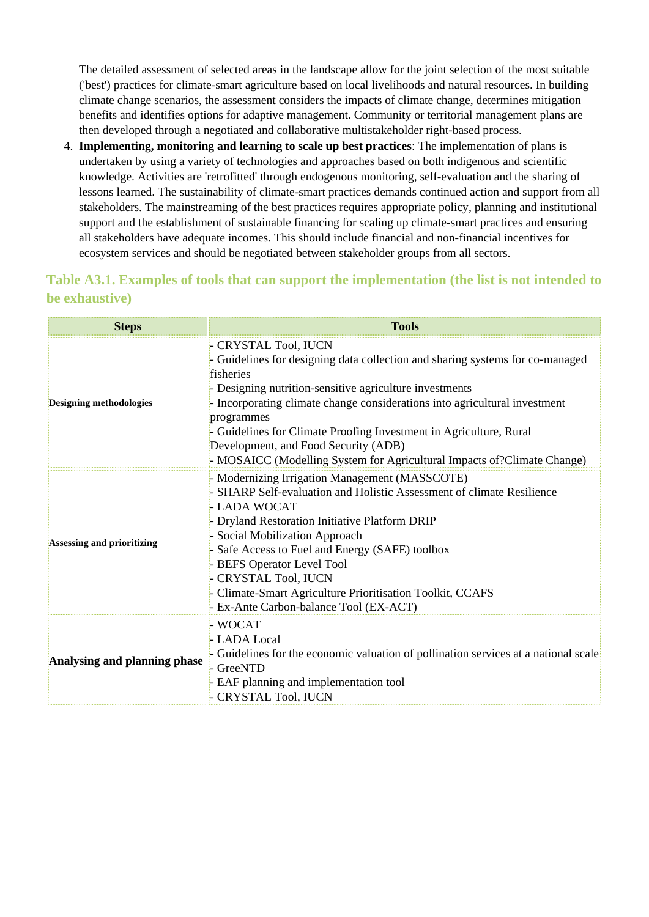The detailed assessment of selected areas in the landscape allow for the joint selection of the most suitable ('best') practices for climate-smart agriculture based on local livelihoods and natural resources. In building climate change scenarios, the assessment considers the impacts of climate change, determines mitigation benefits and identifies options for adaptive management. Community or territorial management plans are then developed through a negotiated and collaborative multistakeholder right-based process.

4. **Implementing, monitoring and learning to scale up best practices**: The implementation of plans is undertaken by using a variety of technologies and approaches based on both indigenous and scientific knowledge. Activities are 'retrofitted' through endogenous monitoring, self-evaluation and the sharing of lessons learned. The sustainability of climate-smart practices demands continued action and support from all stakeholders. The mainstreaming of the best practices requires appropriate policy, planning and institutional support and the establishment of sustainable financing for scaling up climate-smart practices and ensuring all stakeholders have adequate incomes. This should include financial and non-financial incentives for ecosystem services and should be negotiated between stakeholder groups from all sectors.

## **Table A3.1. Examples of tools that can support the implementation (the list is not intended to be exhaustive)**

| <b>Steps</b>                   | <b>Tools</b>                                                                                                                                                                                                                                                                                                                                                                                                                                                       |
|--------------------------------|--------------------------------------------------------------------------------------------------------------------------------------------------------------------------------------------------------------------------------------------------------------------------------------------------------------------------------------------------------------------------------------------------------------------------------------------------------------------|
| <b>Designing methodologies</b> | - CRYSTAL Tool, IUCN<br>- Guidelines for designing data collection and sharing systems for co-managed<br>fisheries<br>- Designing nutrition-sensitive agriculture investments<br>- Incorporating climate change considerations into agricultural investment<br>programmes<br>- Guidelines for Climate Proofing Investment in Agriculture, Rural<br>Development, and Food Security (ADB)<br>- MOSAICC (Modelling System for Agricultural Impacts of?Climate Change) |
| Assessing and prioritizing     | - Modernizing Irrigation Management (MASSCOTE)<br>- SHARP Self-evaluation and Holistic Assessment of climate Resilience<br>- LADA WOCAT<br>- Dryland Restoration Initiative Platform DRIP<br>- Social Mobilization Approach<br>- Safe Access to Fuel and Energy (SAFE) toolbox<br>- BEFS Operator Level Tool<br>- CRYSTAL Tool, IUCN<br>- Climate-Smart Agriculture Prioritisation Toolkit, CCAFS<br>- Ex-Ante Carbon-balance Tool (EX-ACT)                        |
| Analysing and planning phase   | - WOCAT<br>- LADA Local<br>- Guidelines for the economic valuation of pollination services at a national scale<br>- GreeNTD<br>- EAF planning and implementation tool<br>- CRYSTAL Tool, IUCN                                                                                                                                                                                                                                                                      |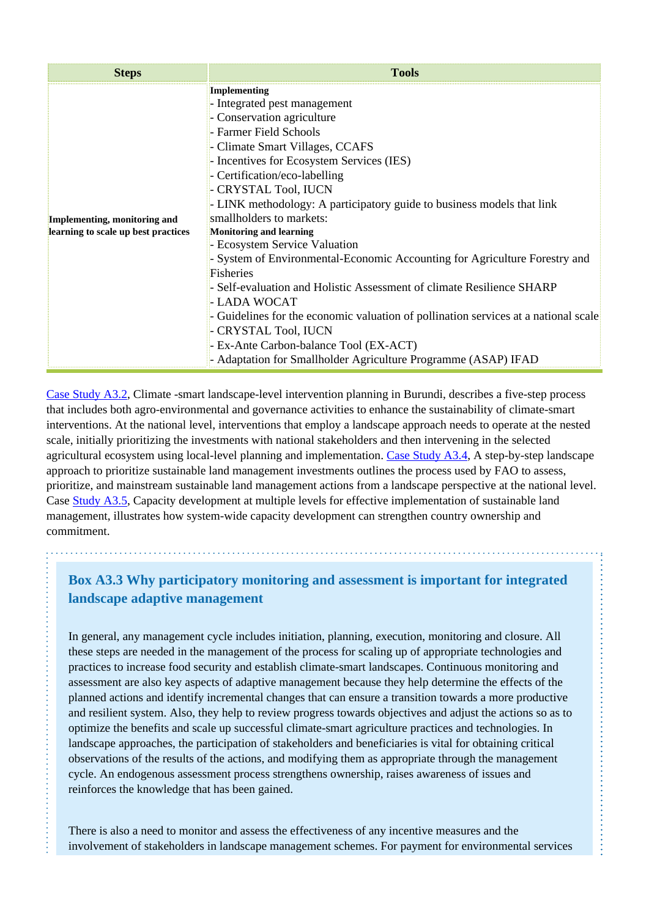| <b>Steps</b>                                                        | <b>Tools</b>                                                                                                                                                                                                                                                                                                                                                                                                                                                                                                                                                                                                                                                                                                                                                               |
|---------------------------------------------------------------------|----------------------------------------------------------------------------------------------------------------------------------------------------------------------------------------------------------------------------------------------------------------------------------------------------------------------------------------------------------------------------------------------------------------------------------------------------------------------------------------------------------------------------------------------------------------------------------------------------------------------------------------------------------------------------------------------------------------------------------------------------------------------------|
| Implementing, monitoring and<br>learning to scale up best practices | Implementing<br>- Integrated pest management<br>- Conservation agriculture<br>- Farmer Field Schools<br>- Climate Smart Villages, CCAFS<br>- Incentives for Ecosystem Services (IES)<br>- Certification/eco-labelling<br>- CRYSTAL Tool, IUCN<br>- LINK methodology: A participatory guide to business models that link<br>smallholders to markets:<br><b>Monitoring and learning</b><br>- Ecosystem Service Valuation<br>- System of Environmental-Economic Accounting for Agriculture Forestry and<br><b>Fisheries</b><br>- Self-evaluation and Holistic Assessment of climate Resilience SHARP<br>- LADA WOCAT<br>- Guidelines for the economic valuation of pollination services at a national scale<br>- CRYSTAL Tool, IUCN<br>- Ex-Ante Carbon-balance Tool (EX-ACT) |

[Case Study A3.2,](http://www.fao.org/climate-smart-agriculture-sourcebook/concept/module-a3-landscapes/a3-case-studies/case-study-a3-2/es/) Climate -smart landscape-level intervention planning in Burundi, describes a five-step process that includes both agro-environmental and governance activities to enhance the sustainability of climate-smart interventions. At the national level, interventions that employ a landscape approach needs to operate at the nested scale, initially prioritizing the investments with national stakeholders and then intervening in the selected agricultural ecosystem using local-level planning and implementation. [Case Study A3.4](http://www.fao.org/climate-smart-agriculture-sourcebook/concept/module-a3-landscapes/a3-case-studies/case-study-a3-4/es/), A step-by-step landscape approach to prioritize sustainable land management investments outlines the process used by FAO to assess, prioritize, and mainstream sustainable land management actions from a landscape perspective at the national level. Case [Study A3.5,](http://www.fao.org/climate-smart-agriculture-sourcebook/concept/module-a3-landscapes/a3-case-studies/case-study-a3-5/es/) Capacity development at multiple levels for effective implementation of sustainable land management, illustrates how system-wide capacity development can strengthen country ownership and commitment.

## **Box A3.3 Why participatory monitoring and assessment is important for integrated landscape adaptive management**

In general, any management cycle includes initiation, planning, execution, monitoring and closure. All these steps are needed in the management of the process for scaling up of appropriate technologies and practices to increase food security and establish climate-smart landscapes. Continuous monitoring and assessment are also key aspects of adaptive management because they help determine the effects of the planned actions and identify incremental changes that can ensure a transition towards a more productive and resilient system. Also, they help to review progress towards objectives and adjust the actions so as to optimize the benefits and scale up successful climate-smart agriculture practices and technologies. In landscape approaches, the participation of stakeholders and beneficiaries is vital for obtaining critical observations of the results of the actions, and modifying them as appropriate through the management cycle. An endogenous assessment process strengthens ownership, raises awareness of issues and reinforces the knowledge that has been gained.

There is also a need to monitor and assess the effectiveness of any incentive measures and the involvement of stakeholders in landscape management schemes. For payment for environmental services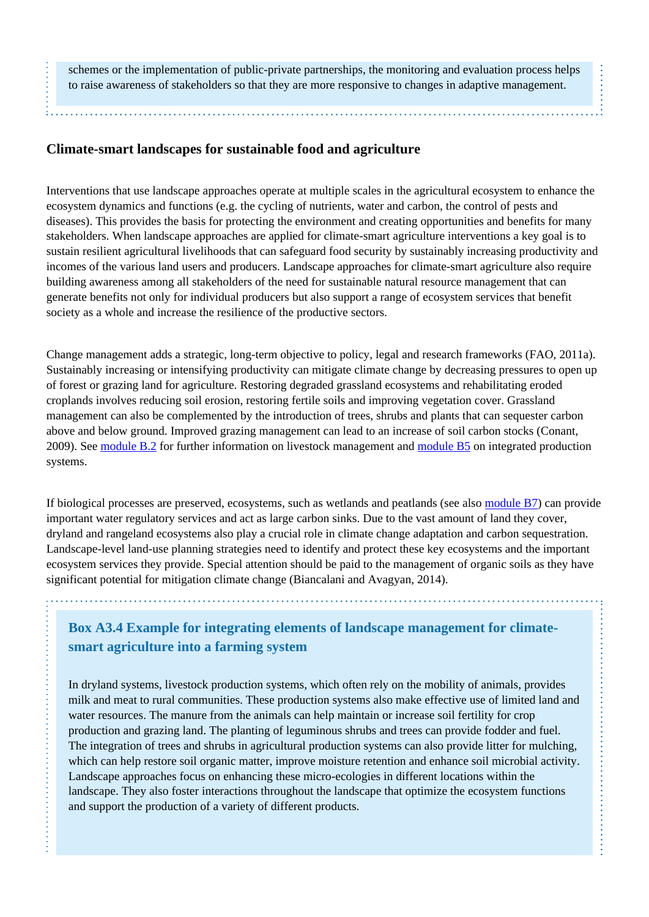schemes or the implementation of public-private partnerships, the monitoring and evaluation process helps to raise awareness of stakeholders so that they are more responsive to changes in adaptive management.

#### **Climate-smart landscapes for sustainable food and agriculture**

 $\vdots$ 

Interventions that use landscape approaches operate at multiple scales in the agricultural ecosystem to enhance the ecosystem dynamics and functions (e.g. the cycling of nutrients, water and carbon, the control of pests and diseases). This provides the basis for protecting the environment and creating opportunities and benefits for many stakeholders. When landscape approaches are applied for climate-smart agriculture interventions a key goal is to sustain resilient agricultural livelihoods that can safeguard food security by sustainably increasing productivity and incomes of the various land users and producers. Landscape approaches for climate-smart agriculture also require building awareness among all stakeholders of the need for sustainable natural resource management that can generate benefits not only for individual producers but also support a range of ecosystem services that benefit society as a whole and increase the resilience of the productive sectors.

Change management adds a strategic, long-term objective to policy, legal and research frameworks (FAO, 2011a). Sustainably increasing or intensifying productivity can mitigate climate change by decreasing pressures to open up of forest or grazing land for agriculture. Restoring degraded grassland ecosystems and rehabilitating eroded croplands involves reducing soil erosion, restoring fertile soils and improving vegetation cover. Grassland management can also be complemented by the introduction of trees, shrubs and plants that can sequester carbon above and below ground. Improved grazing management can lead to an increase of soil carbon stocks (Conant, 2009). See [module B.2](http://www.fao.org/climate-smart-agriculture-sourcebook/production-resources/module-b2-livestock/es/) for further information on livestock management and [module B5](http://www.fao.org/climate-smart-agriculture-sourcebook/production-resources/module-b5-integrated-production-systems/es/) on integrated production systems.

If biological processes are preserved, ecosystems, such as wetlands and peatlands (see also [module B7](http://www.fao.org/climate-smart-agriculture-sourcebook/production-resources/module-b7-soil/es/)) can provide important water regulatory services and act as large carbon sinks. Due to the vast amount of land they cover, dryland and rangeland ecosystems also play a crucial role in climate change adaptation and carbon sequestration. Landscape-level land-use planning strategies need to identify and protect these key ecosystems and the important ecosystem services they provide. Special attention should be paid to the management of organic soils as they have significant potential for mitigation climate change (Biancalani and Avagyan, 2014).

**Box A3.4 Example for integrating elements of landscape management for climatesmart agriculture into a farming system**

In dryland systems, livestock production systems, which often rely on the mobility of animals, provides milk and meat to rural communities. These production systems also make effective use of limited land and water resources. The manure from the animals can help maintain or increase soil fertility for crop production and grazing land. The planting of leguminous shrubs and trees can provide fodder and fuel. The integration of trees and shrubs in agricultural production systems can also provide litter for mulching, which can help restore soil organic matter, improve moisture retention and enhance soil microbial activity. Landscape approaches focus on enhancing these micro-ecologies in different locations within the landscape. They also foster interactions throughout the landscape that optimize the ecosystem functions and support the production of a variety of different products.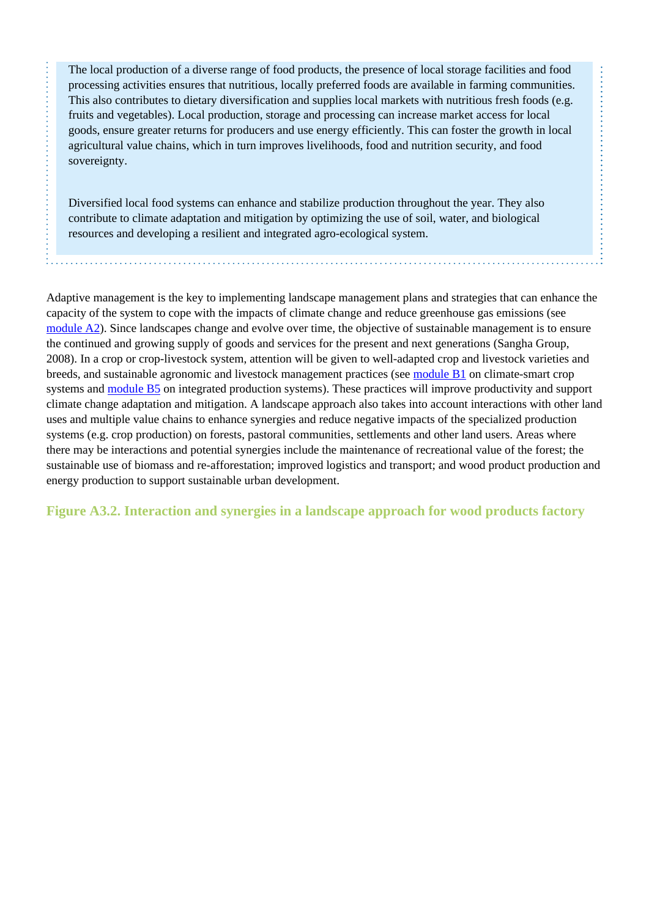The local production of a diverse range of food products, the presence of local storage facilities and food processing activities ensures that nutritious, locally preferred foods are available in farming communities. This also contributes to dietary diversification and supplies local markets with nutritious fresh foods (e.g. fruits and vegetables). Local production, storage and processing can increase market access for local goods, ensure greater returns for producers and use energy efficiently. This can foster the growth in local agricultural value chains, which in turn improves livelihoods, food and nutrition security, and food sovereignty.

Diversified local food systems can enhance and stabilize production throughout the year. They also contribute to climate adaptation and mitigation by optimizing the use of soil, water, and biological resources and developing a resilient and integrated agro-ecological system.

Adaptive management is the key to implementing landscape management plans and strategies that can enhance the capacity of the system to cope with the impacts of climate change and reduce greenhouse gas emissions (see [module A2\)](http://www.fao.org/climate-smart-agriculture-sourcebook/concept/module-a2-adaptation-mitigation/es/). Since landscapes change and evolve over time, the objective of sustainable management is to ensure the continued and growing supply of goods and services for the present and next generations (Sangha Group, 2008). In a crop or crop-livestock system, attention will be given to well-adapted crop and livestock varieties and breeds, and sustainable agronomic and livestock management practices (see [module B1](http://www.fao.org/climate-smart-agriculture-sourcebook/production-resources/module-b1-crops/es/) on climate-smart crop systems and [module B5](http://www.fao.org/climate-smart-agriculture-sourcebook/production-resources/module-b5-integrated-production-systems/es/) on integrated production systems). These practices will improve productivity and support climate change adaptation and mitigation. A landscape approach also takes into account interactions with other land uses and multiple value chains to enhance synergies and reduce negative impacts of the specialized production systems (e.g. crop production) on forests, pastoral communities, settlements and other land users. Areas where there may be interactions and potential synergies include the maintenance of recreational value of the forest; the sustainable use of biomass and re-afforestation; improved logistics and transport; and wood product production and energy production to support sustainable urban development.

**Figure A3.2. Interaction and synergies in a landscape approach for wood products factory**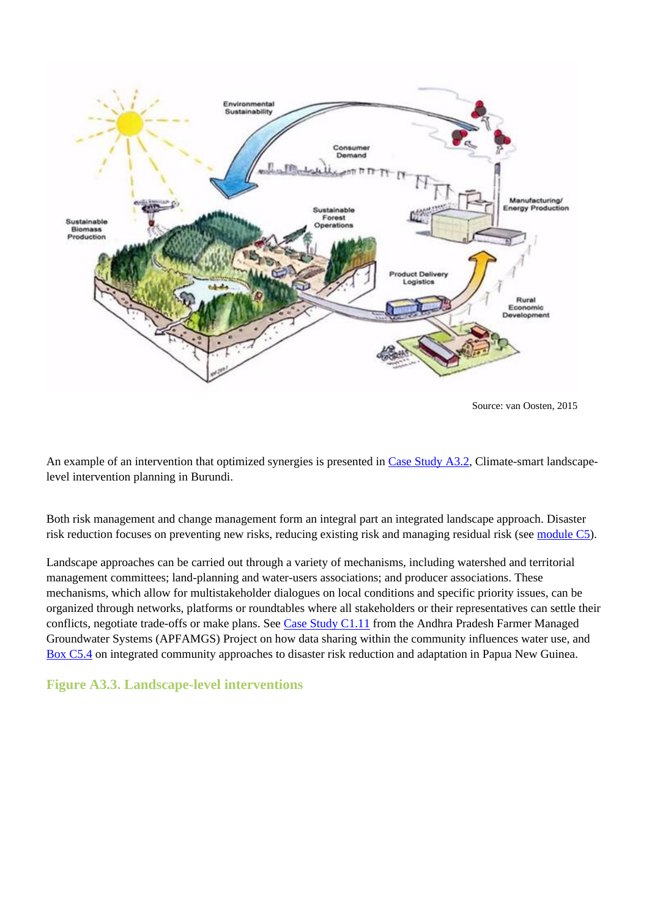

Source: van Oosten, 2015

An example of an intervention that optimized synergies is presented in [Case Study A3.2,](http://www.fao.org/climate-smart-agriculture-sourcebook/concept/module-a3-landscapes/a3-case-studies/case-study-a3-2/es/) Climate-smart landscapelevel intervention planning in Burundi.

Both risk management and change management form an integral part an integrated landscape approach. Disaster risk reduction focuses on preventing new risks, reducing existing risk and managing residual risk (see [module C5](http://www.fao.org/climate-smart-agriculture-sourcebook/enabling-frameworks/module-c5-climate-resilience/es/)).

Landscape approaches can be carried out through a variety of mechanisms, including watershed and territorial management committees; land-planning and water-users associations; and producer associations. These mechanisms, which allow for multistakeholder dialogues on local conditions and specific priority issues, can be organized through networks, platforms or roundtables where all stakeholders or their representatives can settle their conflicts, negotiate trade-offs or make plans. See [Case Study C1.11](http://www.fao.org/climate-smart-agriculture-sourcebook/enabling-frameworks/module-c1-capacity-development/c1-case-studies/case-study-c111-the-andhra-pradesh-farmer-managed-groundwater-systems-apfamgs-project/es/) from the Andhra Pradesh Farmer Managed Groundwater Systems (APFAMGS) Project on how data sharing within the community influences water use, and [Box C5.4](http://www.fao.org/climate-smart-agriculture-sourcebook/enabling-frameworks/module-c5-climate-resilience/chapter-c5-3/es/#c551269) on integrated community approaches to disaster risk reduction and adaptation in Papua New Guinea.

## **Figure A3.3. Landscape-level interventions**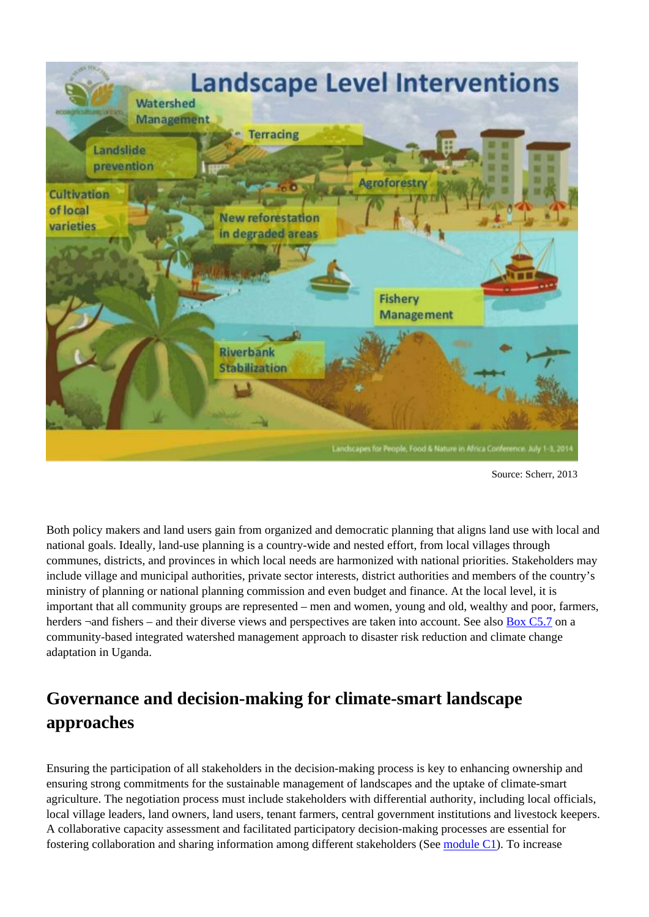

Source: Scherr, 2013

Both policy makers and land users gain from organized and democratic planning that aligns land use with local and national goals. Ideally, land-use planning is a country-wide and nested effort, from local villages through communes, districts, and provinces in which local needs are harmonized with national priorities. Stakeholders may include village and municipal authorities, private sector interests, district authorities and members of the country's ministry of planning or national planning commission and even budget and finance. At the local level, it is important that all community groups are represented – men and women, young and old, wealthy and poor, farmers, herders  $\neg$  and fishers – and their diverse views and perspectives are taken into account. See also [Box C5.7](http://www.fao.org/climate-smart-agriculture-sourcebook/enabling-frameworks/module-c5-climate-resilience/chapter-c5-4/es/#c424458) on a community-based integrated watershed management approach to disaster risk reduction and climate change adaptation in Uganda.

# **Governance and decision-making for climate-smart landscape approaches**

Ensuring the participation of all stakeholders in the decision-making process is key to enhancing ownership and ensuring strong commitments for the sustainable management of landscapes and the uptake of climate-smart agriculture. The negotiation process must include stakeholders with differential authority, including local officials, local village leaders, land owners, land users, tenant farmers, central government institutions and livestock keepers. A collaborative capacity assessment and facilitated participatory decision-making processes are essential for fostering collaboration and sharing information among different stakeholders (See [module C1\)](http://www.fao.org/climate-smart-agriculture-sourcebook/enabling-frameworks/module-c1-capacity-development/es/). To increase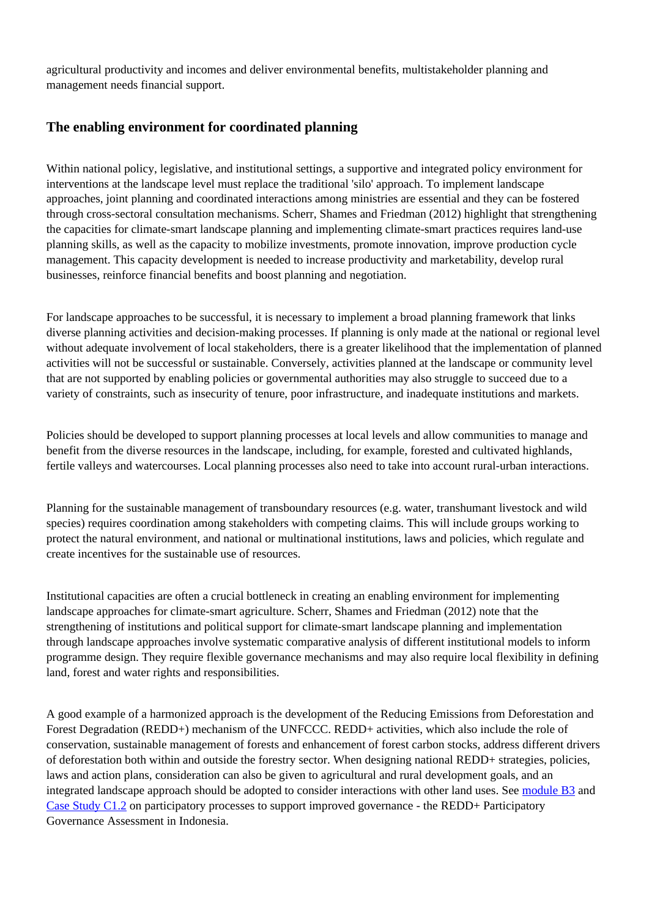agricultural productivity and incomes and deliver environmental benefits, multistakeholder planning and management needs financial support.

### **The enabling environment for coordinated planning**

Within national policy, legislative, and institutional settings, a supportive and integrated policy environment for interventions at the landscape level must replace the traditional 'silo' approach. To implement landscape approaches, joint planning and coordinated interactions among ministries are essential and they can be fostered through cross-sectoral consultation mechanisms. Scherr, Shames and Friedman (2012) highlight that strengthening the capacities for climate-smart landscape planning and implementing climate-smart practices requires land-use planning skills, as well as the capacity to mobilize investments, promote innovation, improve production cycle management. This capacity development is needed to increase productivity and marketability, develop rural businesses, reinforce financial benefits and boost planning and negotiation.

For landscape approaches to be successful, it is necessary to implement a broad planning framework that links diverse planning activities and decision-making processes. If planning is only made at the national or regional level without adequate involvement of local stakeholders, there is a greater likelihood that the implementation of planned activities will not be successful or sustainable. Conversely, activities planned at the landscape or community level that are not supported by enabling policies or governmental authorities may also struggle to succeed due to a variety of constraints, such as insecurity of tenure, poor infrastructure, and inadequate institutions and markets.

Policies should be developed to support planning processes at local levels and allow communities to manage and benefit from the diverse resources in the landscape, including, for example, forested and cultivated highlands, fertile valleys and watercourses. Local planning processes also need to take into account rural-urban interactions.

Planning for the sustainable management of transboundary resources (e.g. water, transhumant livestock and wild species) requires coordination among stakeholders with competing claims. This will include groups working to protect the natural environment, and national or multinational institutions, laws and policies, which regulate and create incentives for the sustainable use of resources.

Institutional capacities are often a crucial bottleneck in creating an enabling environment for implementing landscape approaches for climate-smart agriculture. Scherr, Shames and Friedman (2012) note that the strengthening of institutions and political support for climate-smart landscape planning and implementation through landscape approaches involve systematic comparative analysis of different institutional models to inform programme design. They require flexible governance mechanisms and may also require local flexibility in defining land, forest and water rights and responsibilities.

A good example of a harmonized approach is the development of the Reducing Emissions from Deforestation and Forest Degradation (REDD+) mechanism of the UNFCCC. REDD+ activities, which also include the role of conservation, sustainable management of forests and enhancement of forest carbon stocks, address different drivers of deforestation both within and outside the forestry sector. When designing national REDD+ strategies, policies, laws and action plans, consideration can also be given to agricultural and rural development goals, and an integrated landscape approach should be adopted to consider interactions with other land uses. See [module B3](http://www.fao.org/climate-smart-agriculture-sourcebook/production-resources/module-b3-forestry/es/) and [Case Study C1.2](http://www.fao.org/climate-smart-agriculture-sourcebook/enabling-frameworks/module-c1-capacity-development/c1-case-studies/case-study-c12-participatory-processes-to-support-improved-governance-the-redd-participatory-governance-assessment-in-indonesia/es/) on participatory processes to support improved governance - the REDD+ Participatory Governance Assessment in Indonesia.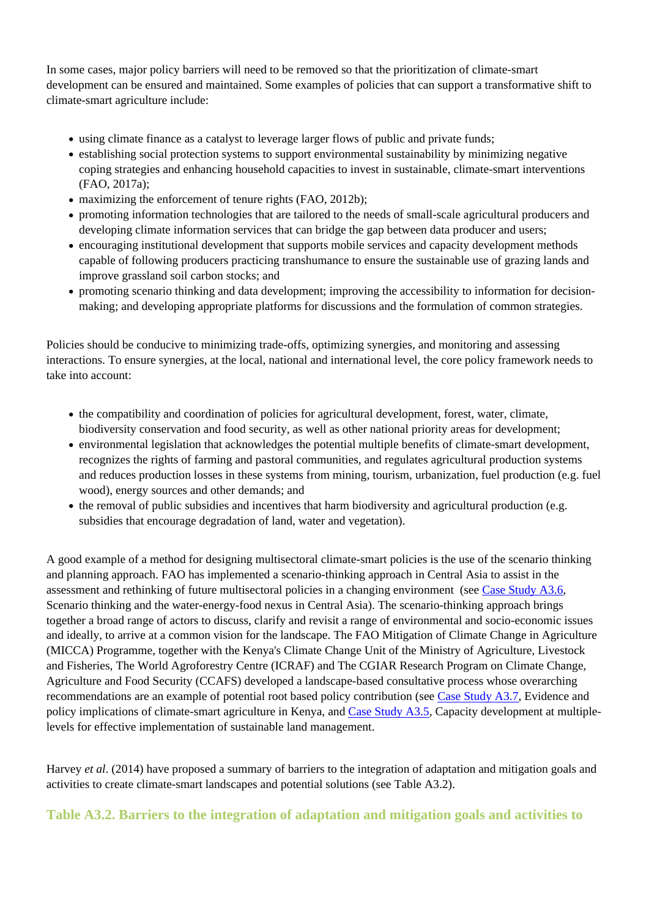In some cases, major policy barriers will need to be removed so that the prioritization of climate-smart development can be ensured and maintained. Some examples of policies that can support a transformative shift to climate-smart agriculture include:

- using climate finance as a catalyst to leverage larger flows of public and private funds;
- establishing social protection systems to support environmental sustainability by minimizing negative coping strategies and enhancing household capacities to invest in sustainable, climate-smart interventions (FAO, 2017a);
- maximizing the enforcement of tenure rights (FAO, 2012b);
- promoting information technologies that are tailored to the needs of small-scale agricultural producers and developing climate information services that can bridge the gap between data producer and users;
- encouraging institutional development that supports mobile services and capacity development methods capable of following producers practicing transhumance to ensure the sustainable use of grazing lands and improve grassland soil carbon stocks; and
- promoting scenario thinking and data development; improving the accessibility to information for decisionmaking; and developing appropriate platforms for discussions and the formulation of common strategies.

Policies should be conducive to minimizing trade-offs, optimizing synergies, and monitoring and assessing interactions. To ensure synergies, at the local, national and international level, the core policy framework needs to take into account:

- the compatibility and coordination of policies for agricultural development, forest, water, climate, biodiversity conservation and food security, as well as other national priority areas for development;
- environmental legislation that acknowledges the potential multiple benefits of climate-smart development, recognizes the rights of farming and pastoral communities, and regulates agricultural production systems and reduces production losses in these systems from mining, tourism, urbanization, fuel production (e.g. fuel wood), energy sources and other demands; and
- the removal of public subsidies and incentives that harm biodiversity and agricultural production (e.g. subsidies that encourage degradation of land, water and vegetation).

A good example of a method for designing multisectoral climate-smart policies is the use of the scenario thinking and planning approach. FAO has implemented a scenario-thinking approach in Central Asia to assist in the assessment and rethinking of future multisectoral policies in a changing environment (see [Case Study A3.6,](http://www.fao.org/climate-smart-agriculture-sourcebook/concept/module-a3-landscapes/a3-case-studies/case-study-a3-6/es/) Scenario thinking and the water-energy-food nexus in Central Asia). The scenario-thinking approach brings together a broad range of actors to discuss, clarify and revisit a range of environmental and socio-economic issues and ideally, to arrive at a common vision for the landscape. The FAO Mitigation of Climate Change in Agriculture (MICCA) Programme, together with the Kenya's Climate Change Unit of the Ministry of Agriculture, Livestock and Fisheries, The World Agroforestry Centre (ICRAF) and The CGIAR Research Program on Climate Change, Agriculture and Food Security (CCAFS) developed a landscape-based consultative process whose overarching recommendations are an example of potential root based policy contribution (see [Case Study A3.7,](http://www.fao.org/climate-smart-agriculture-sourcebook/concept/module-a3-landscapes/a3-case-studies/case-study-a3-7/es/) Evidence and policy implications of climate-smart agriculture in Kenya, and [Case Study A3.5,](http://www.fao.org/climate-smart-agriculture-sourcebook/concept/module-a3-landscapes/a3-case-studies/case-study-a3-5/es/) Capacity development at multiplelevels for effective implementation of sustainable land management.

Harvey *et al*. (2014) have proposed a summary of barriers to the integration of adaptation and mitigation goals and activities to create climate-smart landscapes and potential solutions (see Table A3.2).

**Table A3.2. Barriers to the integration of adaptation and mitigation goals and activities to**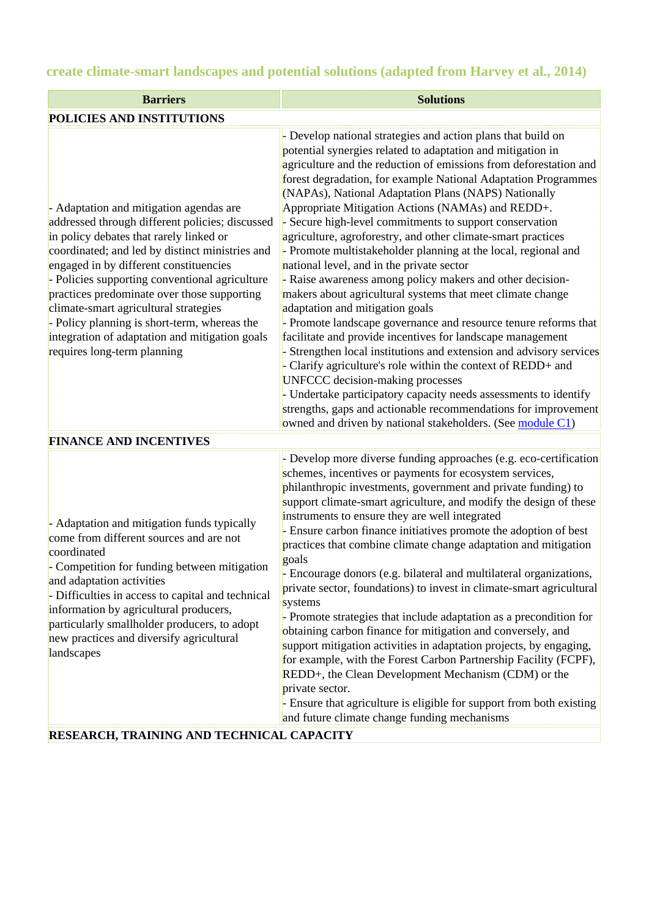# **create climate-smart landscapes and potential solutions (adapted from Harvey et al., 2014)**

| <b>Barriers</b>                                                                                                                                                                                                                                                                                                                                                                                                                                                                                               | <b>Solutions</b>                                                                                                                                                                                                                                                                                                                                                                                                                                                                                                                                                                                                                                                                                                                                                                                                                                                                                                                                                                                                                                                                                                                                                                                                                                                                                        |  |  |  |
|---------------------------------------------------------------------------------------------------------------------------------------------------------------------------------------------------------------------------------------------------------------------------------------------------------------------------------------------------------------------------------------------------------------------------------------------------------------------------------------------------------------|---------------------------------------------------------------------------------------------------------------------------------------------------------------------------------------------------------------------------------------------------------------------------------------------------------------------------------------------------------------------------------------------------------------------------------------------------------------------------------------------------------------------------------------------------------------------------------------------------------------------------------------------------------------------------------------------------------------------------------------------------------------------------------------------------------------------------------------------------------------------------------------------------------------------------------------------------------------------------------------------------------------------------------------------------------------------------------------------------------------------------------------------------------------------------------------------------------------------------------------------------------------------------------------------------------|--|--|--|
| POLICIES AND INSTITUTIONS                                                                                                                                                                                                                                                                                                                                                                                                                                                                                     |                                                                                                                                                                                                                                                                                                                                                                                                                                                                                                                                                                                                                                                                                                                                                                                                                                                                                                                                                                                                                                                                                                                                                                                                                                                                                                         |  |  |  |
| - Adaptation and mitigation agendas are<br>addressed through different policies; discussed<br>in policy debates that rarely linked or<br>coordinated; and led by distinct ministries and<br>engaged in by different constituencies<br>- Policies supporting conventional agriculture<br>practices predominate over those supporting<br>climate-smart agricultural strategies<br>- Policy planning is short-term, whereas the<br>integration of adaptation and mitigation goals<br>requires long-term planning | - Develop national strategies and action plans that build on<br>potential synergies related to adaptation and mitigation in<br>agriculture and the reduction of emissions from deforestation and<br>forest degradation, for example National Adaptation Programmes<br>(NAPAs), National Adaptation Plans (NAPS) Nationally<br>Appropriate Mitigation Actions (NAMAs) and REDD+.<br>- Secure high-level commitments to support conservation<br>agriculture, agroforestry, and other climate-smart practices<br>- Promote multistakeholder planning at the local, regional and<br>national level, and in the private sector<br>- Raise awareness among policy makers and other decision-<br>makers about agricultural systems that meet climate change<br>adaptation and mitigation goals<br>- Promote landscape governance and resource tenure reforms that<br>facilitate and provide incentives for landscape management<br>- Strengthen local institutions and extension and advisory services<br>- Clarify agriculture's role within the context of REDD+ and<br>UNFCCC decision-making processes<br>- Undertake participatory capacity needs assessments to identify<br>strengths, gaps and actionable recommendations for improvement<br>owned and driven by national stakeholders. (See module C1) |  |  |  |
| <b>FINANCE AND INCENTIVES</b>                                                                                                                                                                                                                                                                                                                                                                                                                                                                                 |                                                                                                                                                                                                                                                                                                                                                                                                                                                                                                                                                                                                                                                                                                                                                                                                                                                                                                                                                                                                                                                                                                                                                                                                                                                                                                         |  |  |  |
| - Adaptation and mitigation funds typically<br>come from different sources and are not<br>coordinated<br>- Competition for funding between mitigation<br>and adaptation activities<br>- Difficulties in access to capital and technical<br>information by agricultural producers,<br>particularly smallholder producers, to adopt<br>new practices and diversify agricultural<br>landscapes                                                                                                                   | - Develop more diverse funding approaches (e.g. eco-certification<br>schemes, incentives or payments for ecosystem services,<br>philanthropic investments, government and private funding) to<br>support climate-smart agriculture, and modify the design of these<br>instruments to ensure they are well integrated<br>- Ensure carbon finance initiatives promote the adoption of best<br>practices that combine climate change adaptation and mitigation<br>goals<br>- Encourage donors (e.g. bilateral and multilateral organizations.<br>private sector, foundations) to invest in climate-smart agricultural<br>systems<br>- Promote strategies that include adaptation as a precondition for<br>obtaining carbon finance for mitigation and conversely, and<br>support mitigation activities in adaptation projects, by engaging,<br>for example, with the Forest Carbon Partnership Facility (FCPF),<br>REDD+, the Clean Development Mechanism (CDM) or the<br>private sector.<br>- Ensure that agriculture is eligible for support from both existing<br>and future climate change funding mechanisms                                                                                                                                                                                          |  |  |  |

## **RESEARCH, TRAINING AND TECHNICAL CAPACITY**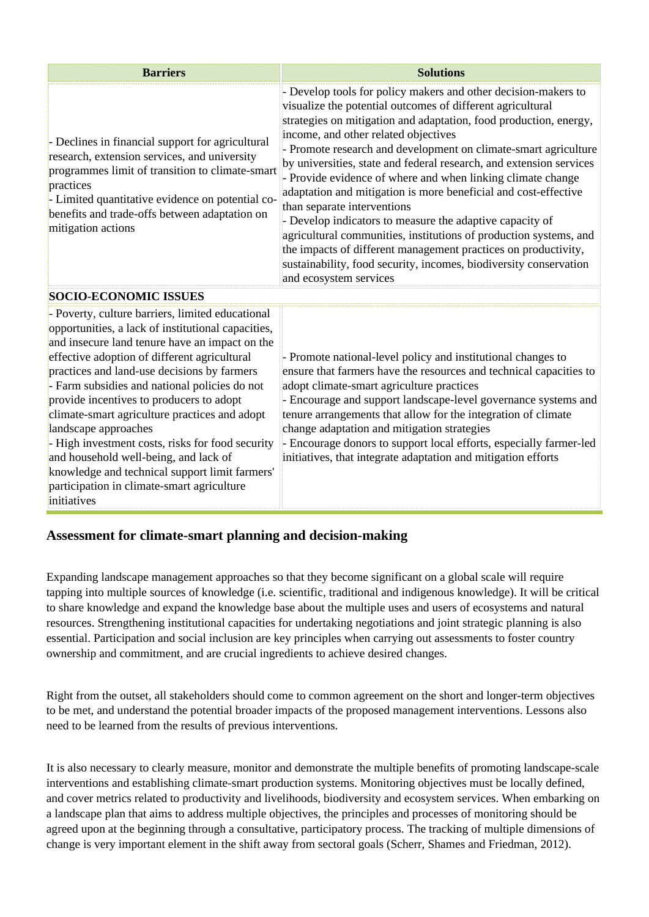| Barriers                                                                                                                                                                                                                                                                                    | <b>Solutions</b>                                                                                                                                                                                                                                                                                                                                                                                                                                                                                                                                                                                                                                                                                                                                                                                                                                       |
|---------------------------------------------------------------------------------------------------------------------------------------------------------------------------------------------------------------------------------------------------------------------------------------------|--------------------------------------------------------------------------------------------------------------------------------------------------------------------------------------------------------------------------------------------------------------------------------------------------------------------------------------------------------------------------------------------------------------------------------------------------------------------------------------------------------------------------------------------------------------------------------------------------------------------------------------------------------------------------------------------------------------------------------------------------------------------------------------------------------------------------------------------------------|
| - Declines in financial support for agricultural<br>research, extension services, and university<br>programmes limit of transition to climate-smart<br>practices<br>- Limited quantitative evidence on potential co-<br>benefits and trade-offs between adaptation on<br>mitigation actions | - Develop tools for policy makers and other decision-makers to<br>visualize the potential outcomes of different agricultural<br>strategies on mitigation and adaptation, food production, energy,<br>income, and other related objectives<br>- Promote research and development on climate-smart agriculture<br>by universities, state and federal research, and extension services<br>- Provide evidence of where and when linking climate change<br>adaptation and mitigation is more beneficial and cost-effective<br>than separate interventions<br>- Develop indicators to measure the adaptive capacity of<br>agricultural communities, institutions of production systems, and<br>the impacts of different management practices on productivity,<br>sustainability, food security, incomes, biodiversity conservation<br>and ecosystem services |
| SOCIO-ECONOMIC ISSUES                                                                                                                                                                                                                                                                       |                                                                                                                                                                                                                                                                                                                                                                                                                                                                                                                                                                                                                                                                                                                                                                                                                                                        |
| - Poverty, culture barriers, limited educational<br>opportunities, a lack of institutional capacities,                                                                                                                                                                                      |                                                                                                                                                                                                                                                                                                                                                                                                                                                                                                                                                                                                                                                                                                                                                                                                                                                        |

effective adoption of different agricultural practices and land-use decisions by farmers - Farm subsidies and national policies do not provide incentives to producers to adopt climate-smart agriculture practices and adopt landscape approaches - High investment costs, risks for food security and household well-being, and lack of knowledge and technical support limit farmers' participation in climate-smart agriculture initiatives - Promote national-level policy and institutional changes to ensure that farmers have the resources and technical capacities to adopt climate-smart agriculture practices - Encourage and support landscape-level governance systems and tenure arrangements that allow for the integration of climate change adaptation and mitigation strategies - Encourage donors to support local efforts, especially farmer-led initiatives, that integrate adaptation and mitigation efforts

# **Assessment for climate-smart planning and decision-making**

and insecure land tenure have an impact on the

Expanding landscape management approaches so that they become significant on a global scale will require tapping into multiple sources of knowledge (i.e. scientific, traditional and indigenous knowledge). It will be critical to share knowledge and expand the knowledge base about the multiple uses and users of ecosystems and natural resources. Strengthening institutional capacities for undertaking negotiations and joint strategic planning is also essential. Participation and social inclusion are key principles when carrying out assessments to foster country ownership and commitment, and are crucial ingredients to achieve desired changes.

Right from the outset, all stakeholders should come to common agreement on the short and longer-term objectives to be met, and understand the potential broader impacts of the proposed management interventions. Lessons also need to be learned from the results of previous interventions.

It is also necessary to clearly measure, monitor and demonstrate the multiple benefits of promoting landscape-scale interventions and establishing climate-smart production systems. Monitoring objectives must be locally defined, and cover metrics related to productivity and livelihoods, biodiversity and ecosystem services. When embarking on a landscape plan that aims to address multiple objectives, the principles and processes of monitoring should be agreed upon at the beginning through a consultative, participatory process. The tracking of multiple dimensions of change is very important element in the shift away from sectoral goals (Scherr, Shames and Friedman, 2012).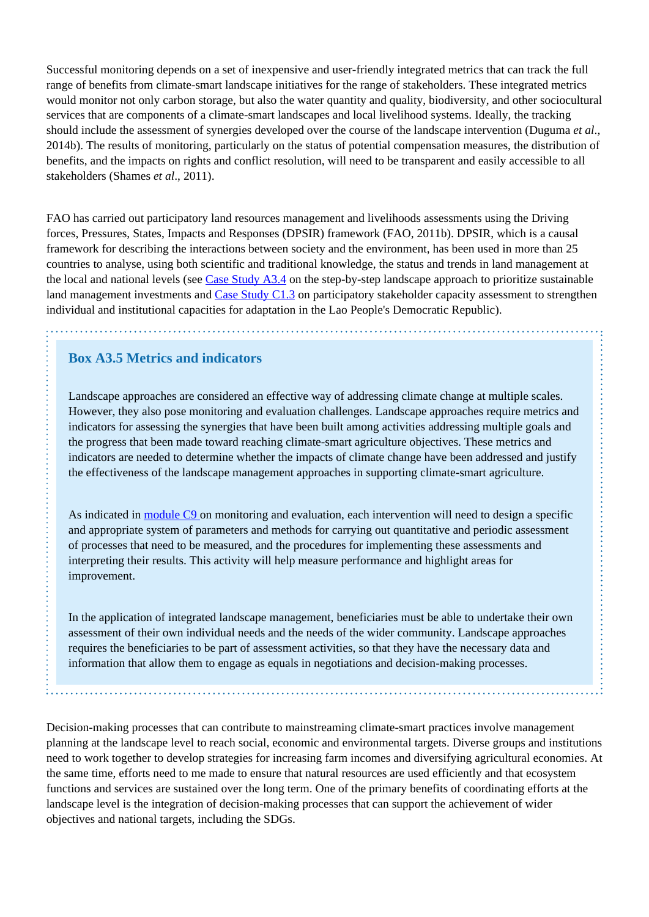Successful monitoring depends on a set of inexpensive and user-friendly integrated metrics that can track the full range of benefits from climate-smart landscape initiatives for the range of stakeholders. These integrated metrics would monitor not only carbon storage, but also the water quantity and quality, biodiversity, and other sociocultural services that are components of a climate-smart landscapes and local livelihood systems. Ideally, the tracking should include the assessment of synergies developed over the course of the landscape intervention (Duguma *et al*., 2014b). The results of monitoring, particularly on the status of potential compensation measures, the distribution of benefits, and the impacts on rights and conflict resolution, will need to be transparent and easily accessible to all stakeholders (Shames *et al*., 2011).

FAO has carried out participatory land resources management and livelihoods assessments using the Driving forces, Pressures, States, Impacts and Responses (DPSIR) framework (FAO, 2011b). DPSIR, which is a causal framework for describing the interactions between society and the environment, has been used in more than 25 countries to analyse, using both scientific and traditional knowledge, the status and trends in land management at the local and national levels (see [Case Study A3.4](http://www.fao.org/climate-smart-agriculture-sourcebook/concept/module-a3-landscapes/a3-case-studies/case-study-a3-4/es/) on the step-by-step landscape approach to prioritize sustainable land management investments and [Case Study C1.3](http://www.fao.org/climate-smart-agriculture-sourcebook/enabling-frameworks/module-c1-capacity-development/c1-case-studies/case-study-c13-participatory-stakeholder-capacity-assessment-to-strengthen-individual-and-institutional-capacities-for-climate-change-adaptation-in-the-lao-peoples-democratic-republic/es/) on participatory stakeholder capacity assessment to strengthen individual and institutional capacities for adaptation in the Lao People's Democratic Republic).

## **Box A3.5 Metrics and indicators**

Landscape approaches are considered an effective way of addressing climate change at multiple scales. However, they also pose monitoring and evaluation challenges. Landscape approaches require metrics and indicators for assessing the synergies that have been built among activities addressing multiple goals and the progress that been made toward reaching climate-smart agriculture objectives. These metrics and indicators are needed to determine whether the impacts of climate change have been addressed and justify the effectiveness of the landscape management approaches in supporting climate-smart agriculture.

As indicated in [module C9](http://www.fao.org/climate-smart-agriculture-sourcebook/enabling-frameworks/module-c9-monitoring-evaluation/es/) on monitoring and evaluation, each intervention will need to design a specific and appropriate system of parameters and methods for carrying out quantitative and periodic assessment of processes that need to be measured, and the procedures for implementing these assessments and interpreting their results. This activity will help measure performance and highlight areas for improvement.

In the application of integrated landscape management, beneficiaries must be able to undertake their own assessment of their own individual needs and the needs of the wider community. Landscape approaches requires the beneficiaries to be part of assessment activities, so that they have the necessary data and information that allow them to engage as equals in negotiations and decision-making processes.

Decision-making processes that can contribute to mainstreaming climate-smart practices involve management planning at the landscape level to reach social, economic and environmental targets. Diverse groups and institutions need to work together to develop strategies for increasing farm incomes and diversifying agricultural economies. At the same time, efforts need to me made to ensure that natural resources are used efficiently and that ecosystem functions and services are sustained over the long term. One of the primary benefits of coordinating efforts at the landscape level is the integration of decision-making processes that can support the achievement of wider objectives and national targets, including the SDGs.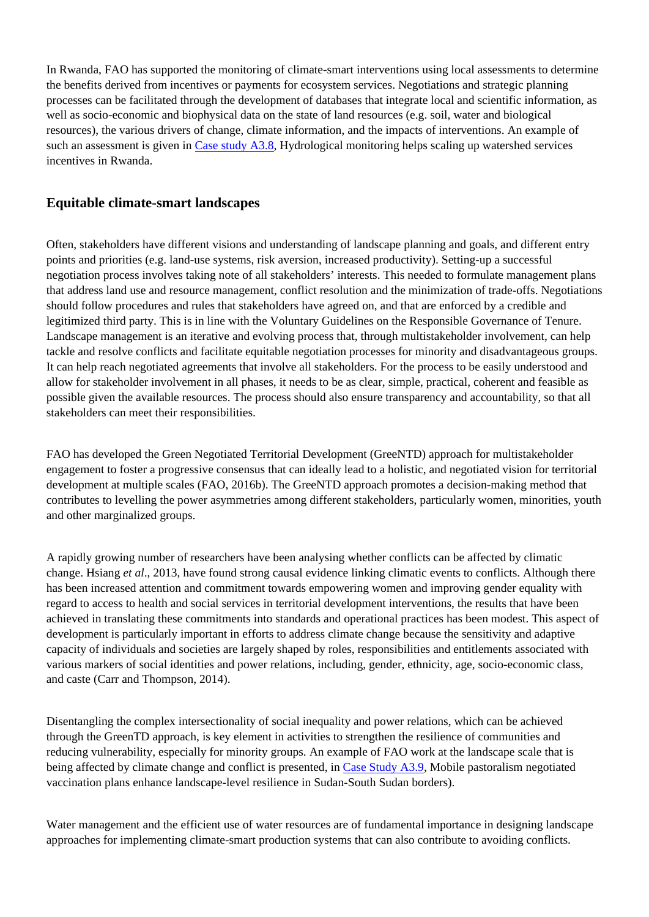In Rwanda, FAO has supported the monitoring of climate-smart interventions using local assessments to determine the benefits derived from incentives or payments for ecosystem services. Negotiations and strategic planning processes can be facilitated through the development of databases that integrate local and scientific information, as well as socio-economic and biophysical data on the state of land resources (e.g. soil, water and biological resources), the various drivers of change, climate information, and the impacts of interventions. An example of such an assessment is given in [Case study A3.8](http://www.fao.org/climate-smart-agriculture-sourcebook/concept/module-a3-landscapes/a3-case-studies/case-study-a3-8/es/), Hydrological monitoring helps scaling up watershed services incentives in Rwanda.

## **Equitable climate-smart landscapes**

Often, stakeholders have different visions and understanding of landscape planning and goals, and different entry points and priorities (e.g. land-use systems, risk aversion, increased productivity). Setting-up a successful negotiation process involves taking note of all stakeholders' interests. This needed to formulate management plans that address land use and resource management, conflict resolution and the minimization of trade-offs. Negotiations should follow procedures and rules that stakeholders have agreed on, and that are enforced by a credible and legitimized third party. This is in line with the Voluntary Guidelines on the Responsible Governance of Tenure. Landscape management is an iterative and evolving process that, through multistakeholder involvement, can help tackle and resolve conflicts and facilitate equitable negotiation processes for minority and disadvantageous groups. It can help reach negotiated agreements that involve all stakeholders. For the process to be easily understood and allow for stakeholder involvement in all phases, it needs to be as clear, simple, practical, coherent and feasible as possible given the available resources. The process should also ensure transparency and accountability, so that all stakeholders can meet their responsibilities.

FAO has developed the Green Negotiated Territorial Development (GreeNTD) approach for multistakeholder engagement to foster a progressive consensus that can ideally lead to a holistic, and negotiated vision for territorial development at multiple scales (FAO, 2016b). The GreeNTD approach promotes a decision-making method that contributes to levelling the power asymmetries among different stakeholders, particularly women, minorities, youth and other marginalized groups.

A rapidly growing number of researchers have been analysing whether conflicts can be affected by climatic change. Hsiang *et al*., 2013, have found strong causal evidence linking climatic events to conflicts. Although there has been increased attention and commitment towards empowering women and improving gender equality with regard to access to health and social services in territorial development interventions, the results that have been achieved in translating these commitments into standards and operational practices has been modest. This aspect of development is particularly important in efforts to address climate change because the sensitivity and adaptive capacity of individuals and societies are largely shaped by roles, responsibilities and entitlements associated with various markers of social identities and power relations, including, gender, ethnicity, age, socio-economic class, and caste (Carr and Thompson, 2014).

Disentangling the complex intersectionality of social inequality and power relations, which can be achieved through the GreenTD approach, is key element in activities to strengthen the resilience of communities and reducing vulnerability, especially for minority groups. An example of FAO work at the landscape scale that is being affected by climate change and conflict is presented, in [Case Study A3.9,](http://www.fao.org/climate-smart-agriculture-sourcebook/concept/module-a3-landscapes/a3-case-studies/case-study-a3-9/es/) Mobile pastoralism negotiated vaccination plans enhance landscape-level resilience in Sudan-South Sudan borders).

Water management and the efficient use of water resources are of fundamental importance in designing landscape approaches for implementing climate-smart production systems that can also contribute to avoiding conflicts.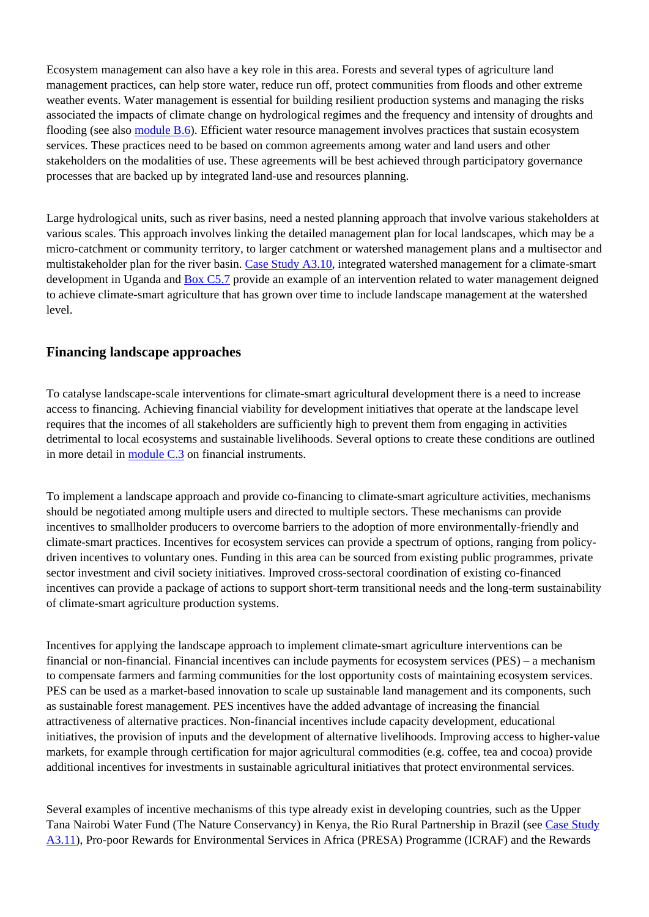Ecosystem management can also have a key role in this area. Forests and several types of agriculture land management practices, can help store water, reduce run off, protect communities from floods and other extreme weather events. Water management is essential for building resilient production systems and managing the risks associated the impacts of climate change on hydrological regimes and the frequency and intensity of droughts and flooding (see also [module B.6\)](http://www.fao.org/climate-smart-agriculture-sourcebook/production-resources/module-b6-water/es/). Efficient water resource management involves practices that sustain ecosystem services. These practices need to be based on common agreements among water and land users and other stakeholders on the modalities of use. These agreements will be best achieved through participatory governance processes that are backed up by integrated land-use and resources planning.

Large hydrological units, such as river basins, need a nested planning approach that involve various stakeholders at various scales. This approach involves linking the detailed management plan for local landscapes, which may be a micro-catchment or community territory, to larger catchment or watershed management plans and a multisector and multistakeholder plan for the river basin. [Case Study A3.10,](http://www.fao.org/climate-smart-agriculture-sourcebook/concept/module-a3-landscapes/a3-case-studies/case-study-a3-10/es/) integrated watershed management for a climate-smart development in Uganda and **[Box C5.7](http://www.fao.org/climate-smart-agriculture-sourcebook/enabling-frameworks/module-c5-climate-resilience/chapter-c5-4/es/#c424458)** provide an example of an intervention related to water management deigned to achieve climate-smart agriculture that has grown over time to include landscape management at the watershed level.

### **Financing landscape approaches**

To catalyse landscape-scale interventions for climate-smart agricultural development there is a need to increase access to financing. Achieving financial viability for development initiatives that operate at the landscape level requires that the incomes of all stakeholders are sufficiently high to prevent them from engaging in activities detrimental to local ecosystems and sustainable livelihoods. Several options to create these conditions are outlined in more detail in [module C.3](http://www.fao.org/climate-smart-agriculture-sourcebook/enabling-frameworks/module-c3-policy/es/) on financial instruments.

To implement a landscape approach and provide co-financing to climate-smart agriculture activities, mechanisms should be negotiated among multiple users and directed to multiple sectors. These mechanisms can provide incentives to smallholder producers to overcome barriers to the adoption of more environmentally-friendly and climate-smart practices. Incentives for ecosystem services can provide a spectrum of options, ranging from policydriven incentives to voluntary ones. Funding in this area can be sourced from existing public programmes, private sector investment and civil society initiatives. Improved cross-sectoral coordination of existing co-financed incentives can provide a package of actions to support short-term transitional needs and the long-term sustainability of climate-smart agriculture production systems.

Incentives for applying the landscape approach to implement climate-smart agriculture interventions can be financial or non-financial. Financial incentives can include payments for ecosystem services (PES) – a mechanism to compensate farmers and farming communities for the lost opportunity costs of maintaining ecosystem services. PES can be used as a market-based innovation to scale up sustainable land management and its components, such as sustainable forest management. PES incentives have the added advantage of increasing the financial attractiveness of alternative practices. Non-financial incentives include capacity development, educational initiatives, the provision of inputs and the development of alternative livelihoods. Improving access to higher-value markets, for example through certification for major agricultural commodities (e.g. coffee, tea and cocoa) provide additional incentives for investments in sustainable agricultural initiatives that protect environmental services.

Several examples of incentive mechanisms of this type already exist in developing countries, such as the Upper Tana Nairobi Water Fund (The Nature Conservancy) in Kenya, the Rio Rural Partnership in Brazil (see [Case Study](http://www.fao.org/climate-smart-agriculture-sourcebook/concept/module-a3-landscapes/a3-case-studies/case-study-a3-11/es/) [A3.11\)](http://www.fao.org/climate-smart-agriculture-sourcebook/concept/module-a3-landscapes/a3-case-studies/case-study-a3-11/es/), Pro-poor Rewards for Environmental Services in Africa (PRESA) Programme (ICRAF) and the Rewards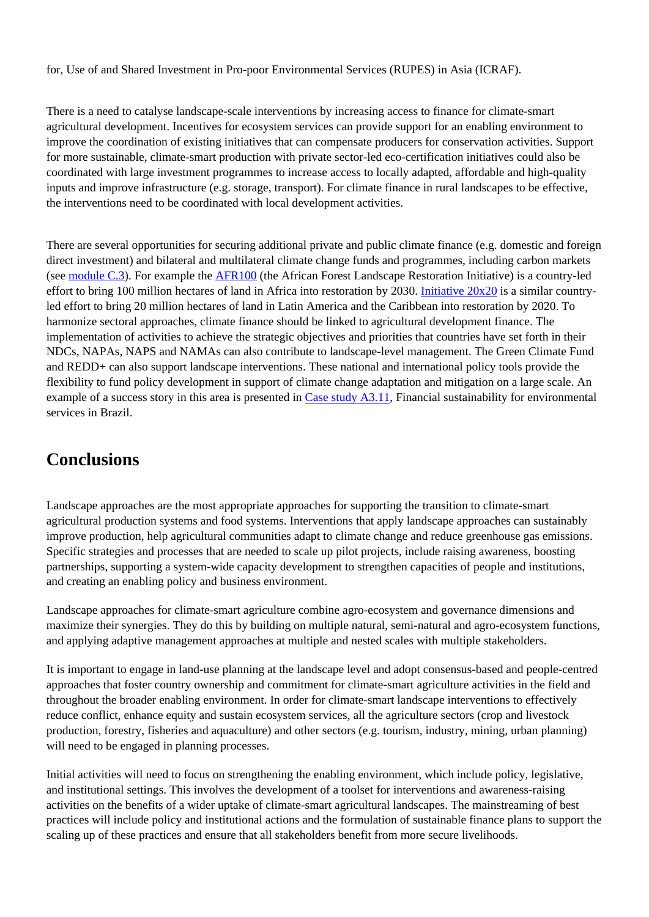for, Use of and Shared Investment in Pro-poor Environmental Services (RUPES) in Asia (ICRAF).

There is a need to catalyse landscape-scale interventions by increasing access to finance for climate-smart agricultural development. Incentives for ecosystem services can provide support for an enabling environment to improve the coordination of existing initiatives that can compensate producers for conservation activities. Support for more sustainable, climate-smart production with private sector-led eco-certification initiatives could also be coordinated with large investment programmes to increase access to locally adapted, affordable and high-quality inputs and improve infrastructure (e.g. storage, transport). For climate finance in rural landscapes to be effective, the interventions need to be coordinated with local development activities.

There are several opportunities for securing additional private and public climate finance (e.g. domestic and foreign direct investment) and bilateral and multilateral climate change funds and programmes, including carbon markets (see [module C.3](http://www.fao.org/climate-smart-agriculture-sourcebook/enabling-frameworks/module-c3-policy/es/)). For example the [AFR100](http://www.wri.org/our-work/project/AFR100/about-afr100) (the African Forest Landscape Restoration Initiative) is a country-led effort to bring 100 million hectares of land in Africa into restoration by 2030. [Initiative 20x20](http://www.wri.org/our-work/project/initiative-20x20) is a similar countryled effort to bring 20 million hectares of land in Latin America and the Caribbean into restoration by 2020. To harmonize sectoral approaches, climate finance should be linked to agricultural development finance. The implementation of activities to achieve the strategic objectives and priorities that countries have set forth in their NDCs, NAPAs, NAPS and NAMAs can also contribute to landscape-level management. The Green Climate Fund and REDD+ can also support landscape interventions. These national and international policy tools provide the flexibility to fund policy development in support of climate change adaptation and mitigation on a large scale. An example of a success story in this area is presented in [Case study A3.11,](http://www.fao.org/climate-smart-agriculture-sourcebook/concept/module-a3-landscapes/a3-case-studies/case-study-a3-11/es/) Financial sustainability for environmental services in Brazil.

# **Conclusions**

Landscape approaches are the most appropriate approaches for supporting the transition to climate-smart agricultural production systems and food systems. Interventions that apply landscape approaches can sustainably improve production, help agricultural communities adapt to climate change and reduce greenhouse gas emissions. Specific strategies and processes that are needed to scale up pilot projects, include raising awareness, boosting partnerships, supporting a system-wide capacity development to strengthen capacities of people and institutions, and creating an enabling policy and business environment.

Landscape approaches for climate-smart agriculture combine agro-ecosystem and governance dimensions and maximize their synergies. They do this by building on multiple natural, semi-natural and agro-ecosystem functions, and applying adaptive management approaches at multiple and nested scales with multiple stakeholders.

It is important to engage in land-use planning at the landscape level and adopt consensus-based and people-centred approaches that foster country ownership and commitment for climate-smart agriculture activities in the field and throughout the broader enabling environment. In order for climate-smart landscape interventions to effectively reduce conflict, enhance equity and sustain ecosystem services, all the agriculture sectors (crop and livestock production, forestry, fisheries and aquaculture) and other sectors (e.g. tourism, industry, mining, urban planning) will need to be engaged in planning processes.

Initial activities will need to focus on strengthening the enabling environment, which include policy, legislative, and institutional settings. This involves the development of a toolset for interventions and awareness-raising activities on the benefits of a wider uptake of climate-smart agricultural landscapes. The mainstreaming of best practices will include policy and institutional actions and the formulation of sustainable finance plans to support the scaling up of these practices and ensure that all stakeholders benefit from more secure livelihoods.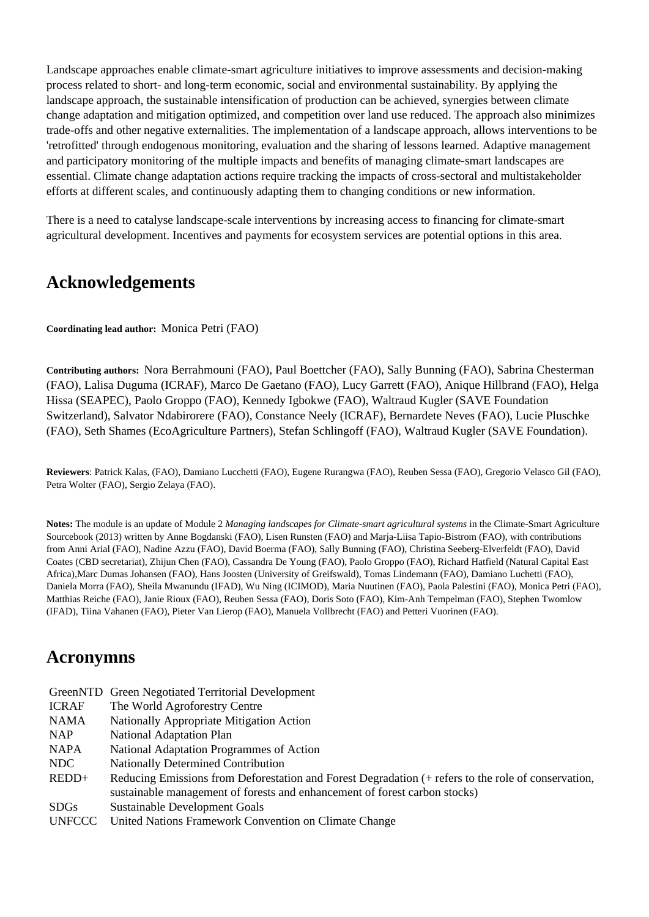Landscape approaches enable climate-smart agriculture initiatives to improve assessments and decision-making process related to short- and long-term economic, social and environmental sustainability. By applying the landscape approach, the sustainable intensification of production can be achieved, synergies between climate change adaptation and mitigation optimized, and competition over land use reduced. The approach also minimizes trade-offs and other negative externalities. The implementation of a landscape approach, allows interventions to be 'retrofitted' through endogenous monitoring, evaluation and the sharing of lessons learned. Adaptive management and participatory monitoring of the multiple impacts and benefits of managing climate-smart landscapes are essential. Climate change adaptation actions require tracking the impacts of cross-sectoral and multistakeholder efforts at different scales, and continuously adapting them to changing conditions or new information.

There is a need to catalyse landscape-scale interventions by increasing access to financing for climate-smart agricultural development. Incentives and payments for ecosystem services are potential options in this area.

# **Acknowledgements**

**Coordinating lead author:** Monica Petri (FAO)

**Contributing authors:** Nora Berrahmouni (FAO), Paul Boettcher (FAO), Sally Bunning (FAO), Sabrina Chesterman (FAO), Lalisa Duguma (ICRAF), Marco De Gaetano (FAO), Lucy Garrett (FAO), Anique Hillbrand (FAO), Helga Hissa (SEAPEC), Paolo Groppo (FAO), Kennedy Igbokwe (FAO), Waltraud Kugler (SAVE Foundation Switzerland), Salvator Ndabirorere (FAO), Constance Neely (ICRAF), Bernardete Neves (FAO), Lucie Pluschke (FAO), Seth Shames (EcoAgriculture Partners), Stefan Schlingoff (FAO), Waltraud Kugler (SAVE Foundation).

**Reviewers**: Patrick Kalas, (FAO), Damiano Lucchetti (FAO), Eugene Rurangwa (FAO), Reuben Sessa (FAO), Gregorio Velasco Gil (FAO), Petra Wolter (FAO), Sergio Zelaya (FAO).

**Notes:** The module is an update of Module 2 *Managing landscapes for Climate-smart agricultural systems* in the Climate-Smart Agriculture Sourcebook (2013) written by Anne Bogdanski (FAO), Lisen Runsten (FAO) and Marja-Liisa Tapio-Bistrom (FAO), with contributions from Anni Arial (FAO), Nadine Azzu (FAO), David Boerma (FAO), Sally Bunning (FAO), Christina Seeberg-Elverfeldt (FAO), David Coates (CBD secretariat), Zhijun Chen (FAO), Cassandra De Young (FAO), Paolo Groppo (FAO), Richard Hatfield (Natural Capital East Africa),Marc Dumas Johansen (FAO), Hans Joosten (University of Greifswald), Tomas Lindemann (FAO), Damiano Luchetti (FAO), Daniela Morra (FAO), Sheila Mwanundu (IFAD), Wu Ning (ICIMOD), Maria Nuutinen (FAO), Paola Palestini (FAO), Monica Petri (FAO), Matthias Reiche (FAO), Janie Rioux (FAO), Reuben Sessa (FAO), Doris Soto (FAO), Kim-Anh Tempelman (FAO), Stephen Twomlow (IFAD), Tiina Vahanen (FAO), Pieter Van Lierop (FAO), Manuela Vollbrecht (FAO) and Petteri Vuorinen (FAO).

# **Acronymns**

- GreenNTD Green Negotiated Territorial Development ICRAF NAMA NAP NAPA NDC REDD+ SDGs The World Agroforestry Centre Nationally Appropriate Mitigation Action National Adaptation Plan National Adaptation Programmes of Action Nationally Determined Contribution Reducing Emissions from Deforestation and Forest Degradation (+ refers to the role of conservation, sustainable management of forests and enhancement of forest carbon stocks) Sustainable Development Goals
- UNFCCC United Nations Framework Convention on Climate Change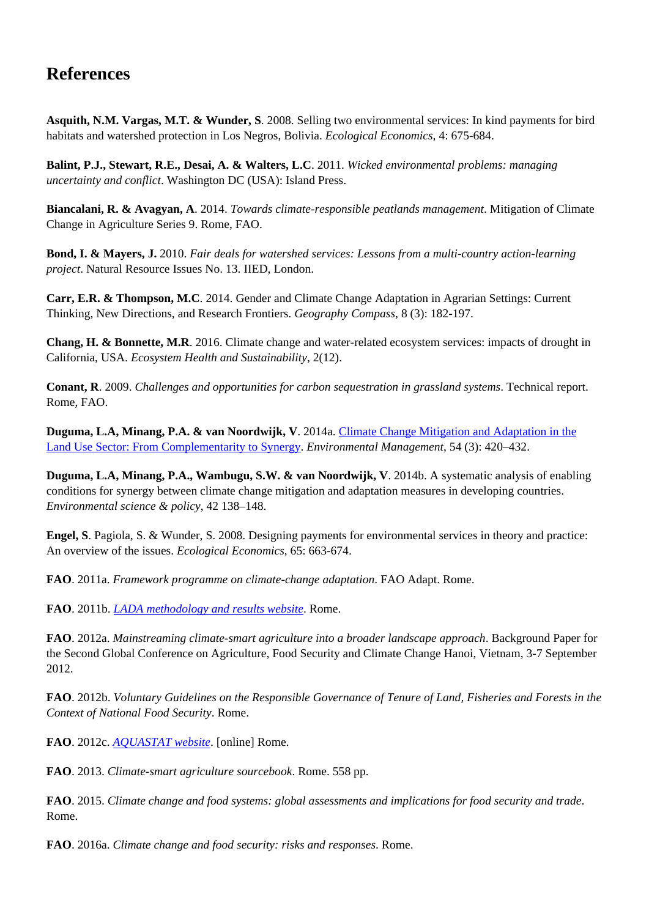# **References**

**Asquith, N.M. Vargas, M.T. & Wunder, S**. 2008. Selling two environmental services: In kind payments for bird habitats and watershed protection in Los Negros, Bolivia. *Ecological Economics*, 4: 675-684.

**Balint, P.J., Stewart, R.E., Desai, A. & Walters, L.C**. 2011. *Wicked environmental problems: managing uncertainty and conflict*. Washington DC (USA): Island Press.

**Biancalani, R. & Avagyan, A**. 2014. *Towards climate-responsible peatlands management*. Mitigation of Climate Change in Agriculture Series 9. Rome, FAO.

**Bond, I. & Mayers, J.** 2010. *Fair deals for watershed services: Lessons from a multi-country action-learning project*. Natural Resource Issues No. 13. IIED, London.

**Carr, E.R. & Thompson, M.C**. 2014. Gender and Climate Change Adaptation in Agrarian Settings: Current Thinking, New Directions, and Research Frontiers. *Geography Compass*, 8 (3): 182-197.

**Chang, H. & Bonnette, M.R**. 2016. Climate change and water-related ecosystem services: impacts of drought in California, USA. *Ecosystem Health and Sustainability*, 2(12).

**Conant, R**. 2009. *Challenges and opportunities for carbon sequestration in grassland systems*. Technical report. Rome, FAO.

**Duguma, L.A, Minang, P.A. & van Noordwijk, V**. 2014a. [Climate Change Mitigation and Adaptation in the](https://link.springer.com/article/10.1007/s00267-014-0331-x) [Land Use Sector: From Complementarity to Synergy.](https://link.springer.com/article/10.1007/s00267-014-0331-x) *Environmental Management*, 54 (3): 420–432.

**Duguma, L.A, Minang, P.A., Wambugu, S.W. & van Noordwijk, V**. 2014b. A systematic analysis of enabling conditions for synergy between climate change mitigation and adaptation measures in developing countries. *Environmental science & policy*, 42 138–148.

**Engel, S**. Pagiola, S. & Wunder, S. 2008. Designing payments for environmental services in theory and practice: An overview of the issues. *Ecological Economics*, 65: 663-674.

**FAO**. 2011a. *Framework programme on climate-change adaptation*. FAO Adapt. Rome.

**FAO**. 2011b. *[LADA methodology and results website](http://www.fao.org/nr/kagera/tools-and-methods/lada-locallevel-assessment-manuals/en/)*. Rome.

**FAO**. 2012a. *Mainstreaming climate-smart agriculture into a broader landscape approach*. Background Paper for the Second Global Conference on Agriculture, Food Security and Climate Change Hanoi, Vietnam, 3-7 September 2012.

**FAO**. 2012b. *Voluntary Guidelines on the Responsible Governance of Tenure of Land, Fisheries and Forests in the Context of National Food Security*. Rome.

**FAO**. 2012c. *[AQUASTAT website](http://www.fao.org/nr/water/aquastat/main/index.stm)*. [online] Rome.

**FAO**. 2013. *Climate-smart agriculture sourcebook*. Rome. 558 pp.

**FAO**. 2015. *Climate change and food systems: global assessments and implications for food security and trade*. Rome.

**FAO**. 2016a. *Climate change and food security: risks and responses*. Rome.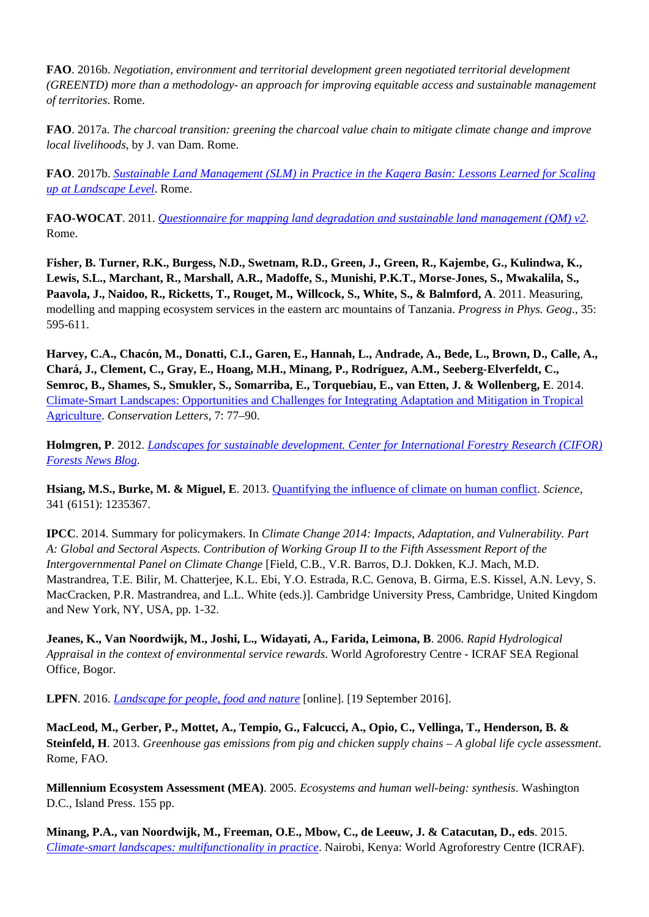**FAO**. 2016b. *Negotiation, environment and territorial development green negotiated territorial development (GREENTD) more than a methodology- an approach for improving equitable access and sustainable management of territories*. Rome.

**FAO**. 2017a. *The charcoal transition: greening the charcoal value chain to mitigate climate change and improve local livelihoods*, by J. van Dam. Rome.

**FAO**. 2017b. *[Sustainable Land Management \(SLM\) in Practice in the Kagera Basin: Lessons Learned for Scaling](http://www.fao.org/3/a-i6085e.pdf) [up at Landscape Level](http://www.fao.org/3/a-i6085e.pdf)*. Rome.

**FAO-WOCAT**. 2011. *[Questionnaire for mapping land degradation and sustainable land management \(QM\) v2](http://www.fao.org/nr/kagera/tools-and-methods/lada-local-level-assessmentmanuals/en/)*. Rome.

**Fisher, B. Turner, R.K., Burgess, N.D., Swetnam, R.D., Green, J., Green, R., Kajembe, G., Kulindwa, K., Lewis, S.L., Marchant, R., Marshall, A.R., Madoffe, S., Munishi, P.K.T., Morse-Jones, S., Mwakalila, S., Paavola, J., Naidoo, R., Ricketts, T., Rouget, M., Willcock, S., White, S., & Balmford, A**. 2011. Measuring, modelling and mapping ecosystem services in the eastern arc mountains of Tanzania. *Progress in Phys. Geog*., 35: 595-611.

**Harvey, C.A., Chacón, M., Donatti, C.I., Garen, E., Hannah, L., Andrade, A., Bede, L., Brown, D., Calle, A., Chará, J., Clement, C., Gray, E., Hoang, M.H., Minang, P., Rodríguez, A.M., Seeberg-Elverfeldt, C., Semroc, B., Shames, S., Smukler, S., Somarriba, E., Torquebiau, E., van Etten, J. & Wollenberg, E**. 2014. [Climate-Smart Landscapes: Opportunities and Challenges for Integrating Adaptation and Mitigation in Tropical](http://www.fao.org/doi:) [Agriculture](http://www.fao.org/doi:). *Conservation Letters*, 7: 77–90.

**Holmgren, P**. 2012. *[Landscapes for sustainable development. Center for International Forestry Research \(CIFOR\)](http://blog.cifor.org/12517/landscapes-for-sustainable-development) [Forests News Blog](http://blog.cifor.org/12517/landscapes-for-sustainable-development)*.

**Hsiang, M.S., Burke, M. & Miguel, E**. 2013. [Quantifying the influence of climate on human conflict.](http://www.fao.org/doi:) *Science*, 341 (6151): 1235367.

**IPCC**. 2014. Summary for policymakers. In *Climate Change 2014: Impacts, Adaptation, and Vulnerability. Part A: Global and Sectoral Aspects. Contribution of Working Group II to the Fifth Assessment Report of the Intergovernmental Panel on Climate Change* [Field, C.B., V.R. Barros, D.J. Dokken, K.J. Mach, M.D. Mastrandrea, T.E. Bilir, M. Chatterjee, K.L. Ebi, Y.O. Estrada, R.C. Genova, B. Girma, E.S. Kissel, A.N. Levy, S. MacCracken, P.R. Mastrandrea, and L.L. White (eds.)]. Cambridge University Press, Cambridge, United Kingdom and New York, NY, USA, pp. 1-32.

**Jeanes, K., Van Noordwijk, M., Joshi, L., Widayati, A., Farida, Leimona, B**. 2006. *Rapid Hydrological Appraisal in the context of environmental service rewards*. World Agroforestry Centre - ICRAF SEA Regional Office, Bogor.

**LPFN**. 2016. *[Landscape for people, food and nature](http://peoplefoodandnature.org/about-integrated-landscape-management/)* [online]. [19 September 2016].

**MacLeod, M., Gerber, P., Mottet, A., Tempio, G., Falcucci, A., Opio, C., Vellinga, T., Henderson, B. & Steinfeld, H**. 2013. *Greenhouse gas emissions from pig and chicken supply chains – A global life cycle assessment*. Rome, FAO.

**Millennium Ecosystem Assessment (MEA)**. 2005. *Ecosystems and human well-being: synthesis*. Washington D.C., Island Press. 155 pp.

**Minang, P.A., van Noordwijk, M., Freeman, O.E., Mbow, C., de Leeuw, J. & Catacutan, D., eds**. 2015. *[Climate-smart landscapes: multifunctionality in practice](http://asb.cgiar.org/climate-smart-landscapes/digital-edition/resources/Climate-Smart_Landscapes-LR.pdf)*. Nairobi, Kenya: World Agroforestry Centre (ICRAF).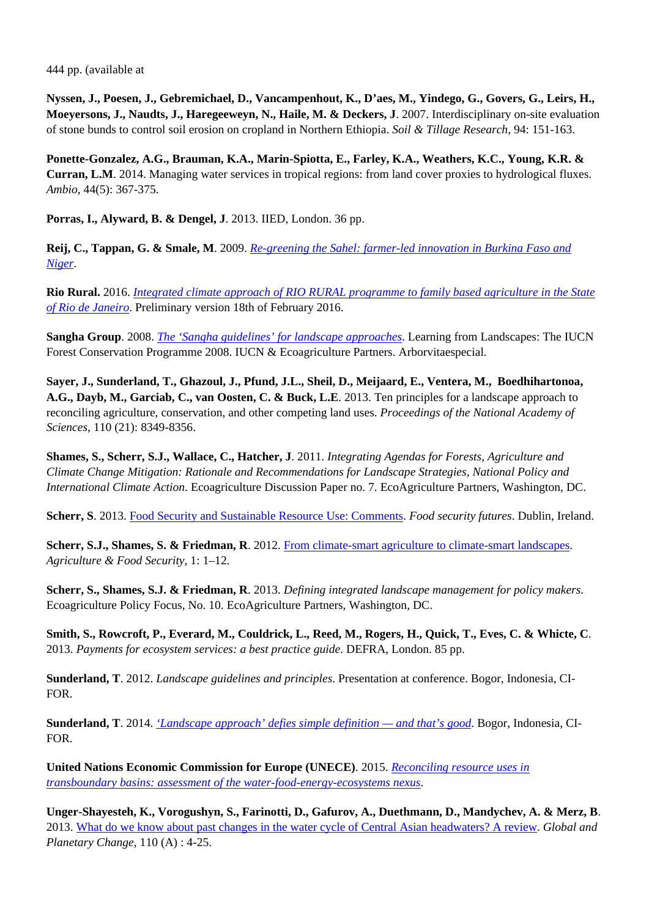444 pp. (available at

**Nyssen, J., Poesen, J., Gebremichael, D., Vancampenhout, K., D'aes, M., Yindego, G., Govers, G., Leirs, H., Moeyersons, J., Naudts, J., Haregeeweyn, N., Haile, M. & Deckers, J**. 2007. Interdisciplinary on-site evaluation of stone bunds to control soil erosion on cropland in Northern Ethiopia. *Soil & Tillage Research*, 94: 151-163.

**Ponette-Gonzalez, A.G., Brauman, K.A., Marin-Spiotta, E., Farley, K.A., Weathers, K.C., Young, K.R. & Curran, L.M**. 2014. Managing water services in tropical regions: from land cover proxies to hydrological fluxes. *Ambio*, 44(5): 367-375.

**Porras, I., Alyward, B. & Dengel, J**. 2013. IIED, London. 36 pp.

**Reij, C., Tappan, G. & Smale, M**. 2009. *[Re-greening the Sahel: farmer-led innovation in Burkina Faso and](http://www.ifpri.org/book-5826/millionsfed/cases/innovation) [Niger](http://www.ifpri.org/book-5826/millionsfed/cases/innovation)*.

**Rio Rural.** 2016. *[Integrated climate approach of RIO RURAL programme to family based agriculture in the State](http://www.nrg4sd.org/wp-content/uploads/2016/06/RJ_Integrated-Climate-Approach-to-Family-based-Agriculture.pdf) [of Rio de Janeiro](http://www.nrg4sd.org/wp-content/uploads/2016/06/RJ_Integrated-Climate-Approach-to-Family-based-Agriculture.pdf)*. Preliminary version 18th of February 2016.

**Sangha Group**. 2008. *[The 'Sangha guidelines' for landscape approaches](http://www.ecoagriculture.org/documents/files/doc_126.pdf)*. Learning from Landscapes: The IUCN Forest Conservation Programme 2008. IUCN & Ecoagriculture Partners. Arborvitaespecial.

**Sayer, J., Sunderland, T., Ghazoul, J., Pfund, J.L., Sheil, D., Meijaard, E., Ventera, M., Boedhihartonoa, A.G., Dayb, M., Garciab, C., van Oosten, C. & Buck, L.E**. 2013. Ten principles for a landscape approach to reconciling agriculture, conservation, and other competing land uses. *Proceedings of the National Academy of Sciences*, 110 (21): 8349-8356.

**Shames, S., Scherr, S.J., Wallace, C., Hatcher, J**. 2011. *Integrating Agendas for Forests, Agriculture and Climate Change Mitigation: Rationale and Recommendations for Landscape Strategies, National Policy and International Climate Action*. Ecoagriculture Discussion Paper no. 7. EcoAgriculture Partners, Washington, DC.

**Scherr, S**. 2013. [Food Security and Sustainable Resource Use: Comments](https://www.slideshare.net/Ecoagriculture/food-security-and-sustainable-resource-use-comments-by-sara-scherr-president-ecoagriculture-partners). *Food security futures*. Dublin, Ireland.

Scherr, S.J., Shames, S. & Friedman, R. 2012. [From climate-smart agriculture to climate-smart landscapes.](http://www.agricultureandfoodsecurity.com/content/1/1/12) *Agriculture & Food Security*, 1: 1–12.

**Scherr, S., Shames, S.J. & Friedman, R**. 2013. *Defining integrated landscape management for policy makers*. Ecoagriculture Policy Focus, No. 10. EcoAgriculture Partners, Washington, DC.

**Smith, S., Rowcroft, P., Everard, M., Couldrick, L., Reed, M., Rogers, H., Quick, T., Eves, C. & Whicte, C**. 2013. *Payments for ecosystem services: a best practice guide*. DEFRA, London. 85 pp.

**Sunderland, T**. 2012. *Landscape guidelines and principles*. Presentation at conference. Bogor, Indonesia, CI-FOR.

**Sunderland, T**. 2014. *['Landscape approach' defies simple definition — and that's good](http://blog.cifor.org/23834/landscape-approach-defies-simple-definition-and-thats-good?fnl=en)*. Bogor, Indonesia, CI-FOR.

**United Nations Economic Commission for Europe (UNECE)**. 2015. *[Reconciling resource uses in](http://www.unece.org/index.php?id=41427) [transboundary basins: assessment of the water-food-energy-ecosystems nexus](http://www.unece.org/index.php?id=41427)*.

**Unger-Shayesteh, K., Vorogushyn, S., Farinotti, D., Gafurov, A., Duethmann, D., Mandychev, A. & Merz, B**. 2013. [What do we know about past changes in the water cycle of Central Asian headwaters? A review.](http://www.) *Global and Planetary Change*, 110 (A) : 4-25.